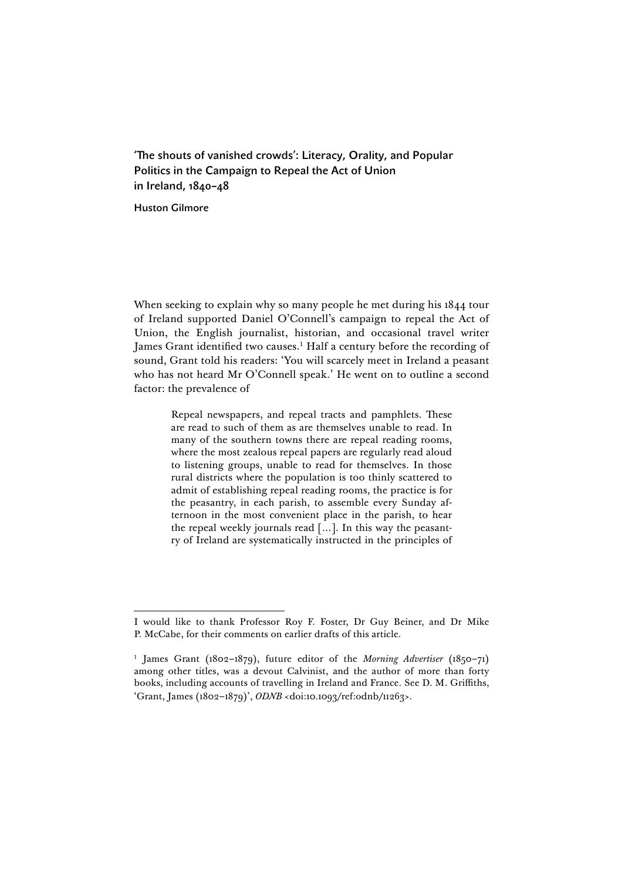'The shouts of vanished crowds': Literacy, Orality, and Popular Politics in the Campaign to Repeal the Act of Union in Ireland, 1840–48

Huston Gilmore

 $\overline{a}$ 

When seeking to explain why so many people he met during his 1844 tour of Ireland supported Daniel O'Connell's campaign to repeal the Act of Union, the English journalist, historian, and occasional travel writer James Grant identified two causes.<sup>1</sup> Half a century before the recording of sound, Grant told his readers: 'You will scarcely meet in Ireland a peasant who has not heard Mr O'Connell speak.' He went on to outline a second factor: the prevalence of

> Repeal newspapers, and repeal tracts and pamphlets. These are read to such of them as are themselves unable to read. In many of the southern towns there are repeal reading rooms, where the most zealous repeal papers are regularly read aloud to listening groups, unable to read for themselves. In those rural districts where the population is too thinly scattered to admit of establishing repeal reading rooms, the practice is for the peasantry, in each parish, to assemble every Sunday afternoon in the most convenient place in the parish, to hear the repeal weekly journals read […]. In this way the peasantry of Ireland are systematically instructed in the principles of

I would like to thank Professor Roy F. Foster, Dr Guy Beiner, and Dr Mike P. McCabe, for their comments on earlier drafts of this article.

<sup>1</sup> James Grant (1802–1879), future editor of the *Morning Advertiser* (1850–71) among other titles, was a devout Calvinist, and the author of more than forty books, including accounts of travelling in Ireland and France. See D. M. Griffiths, 'Grant, James (1802–1879)', *ODNB* <doi:10.1093/ref:odnb/11263>.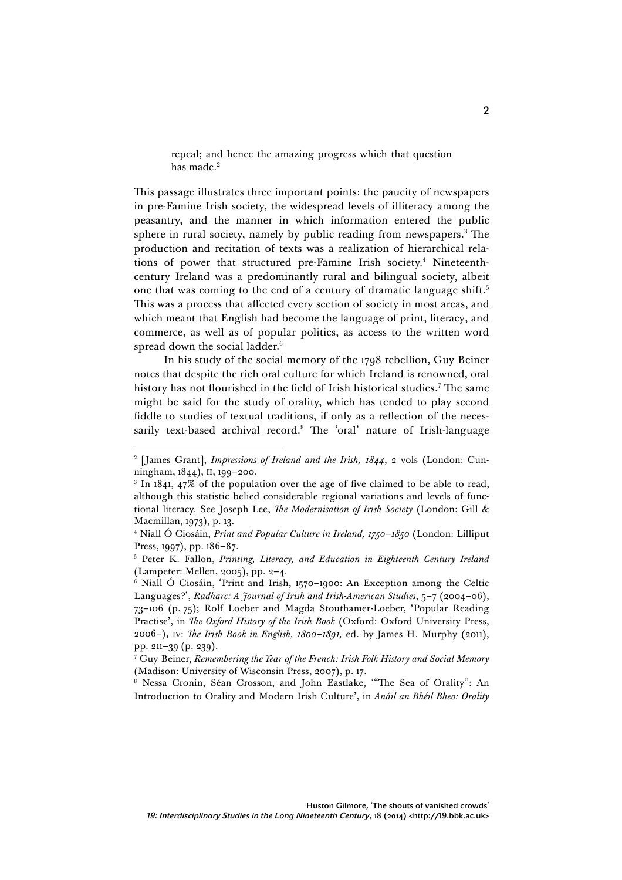repeal; and hence the amazing progress which that question has made.<sup>2</sup>

This passage illustrates three important points: the paucity of newspapers in pre-Famine Irish society, the widespread levels of illiteracy among the peasantry, and the manner in which information entered the public sphere in rural society, namely by public reading from newspapers.<sup>3</sup> The production and recitation of texts was a realization of hierarchical relations of power that structured pre-Famine Irish society.<sup>4</sup> Nineteenthcentury Ireland was a predominantly rural and bilingual society, albeit one that was coming to the end of a century of dramatic language shift. 5 This was a process that affected every section of society in most areas, and which meant that English had become the language of print, literacy, and commerce, as well as of popular politics, as access to the written word spread down the social ladder.<sup>6</sup>

In his study of the social memory of the 1798 rebellion, Guy Beiner notes that despite the rich oral culture for which Ireland is renowned, oral history has not flourished in the field of Irish historical studies.<sup>7</sup> The same might be said for the study of orality, which has tended to play second fiddle to studies of textual traditions, if only as a reflection of the necessarily text-based archival record.<sup>8</sup> The 'oral' nature of Irish-language

<sup>2</sup> [James Grant], *Impressions of Ireland and the Irish, 1844*, 2 vols (London: Cunningham, 1844), II, 199–200.

<sup>&</sup>lt;sup>3</sup> In 1841, 47% of the population over the age of five claimed to be able to read, although this statistic belied considerable regional variations and levels of functional literacy. See Joseph Lee, *The Modernisation of Irish Society* (London: Gill & Macmillan, 1973), p. 13.

<sup>4</sup> Niall Ó Ciosáin, *Print and Popular Culture in Ireland, 1750–1850* (London: Lilliput Press, 1997), pp. 186–87.

<sup>5</sup> Peter K. Fallon, *Printing, Literacy, and Education in Eighteenth Century Ireland* (Lampeter: Mellen, 2005), pp. 2–4.

 $6$  Niall Ó Ciosáin, 'Print and Irish, 1570–1900: An Exception among the Celtic Languages?', *Radharc: A Journal of Irish and Irish-American Studies*, 5–7 (2004–06), 73–106 (p. 75); Rolf Loeber and Magda Stouthamer-Loeber, 'Popular Reading Practise', in *The Oxford History of the Irish Book* (Oxford: Oxford University Press, 2006–), IV: *The Irish Book in English, 1800–1891,* ed. by James H. Murphy (2011), pp. 211–39 (p. 239).

<sup>7</sup> Guy Beiner, *Remembering the Year of the French: Irish Folk History and Social Memory* (Madison: University of Wisconsin Press, 2007), p. 17.

<sup>&</sup>lt;sup>8</sup> Nessa Cronin, Séan Crosson, and John Eastlake, "The Sea of Orality": An Introduction to Orality and Modern Irish Culture', in *Anáil an Bhéil Bheo: Orality*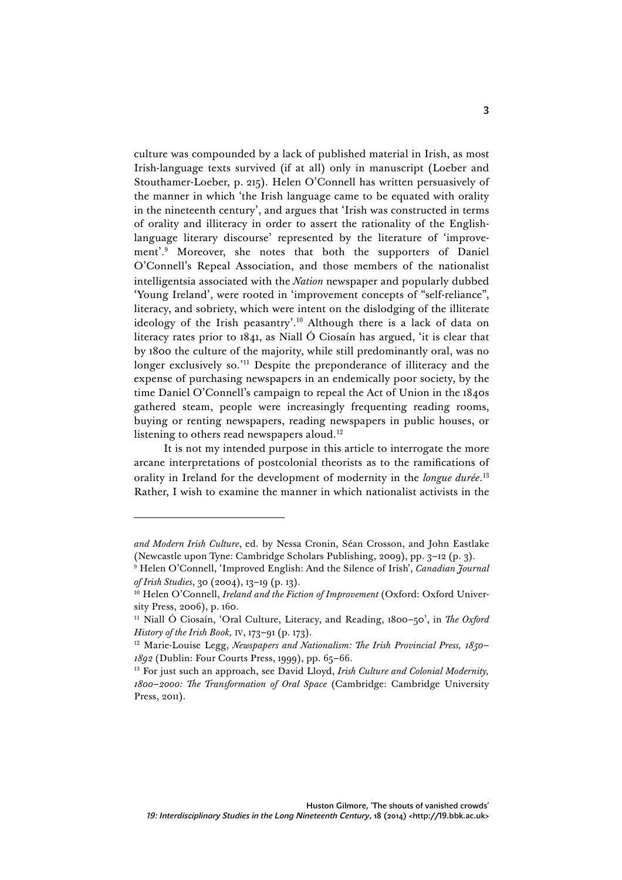culture was compounded by a lack of published material in Irish, as most Irish-language texts survived (if at all) only in manuscript (Loeber and Stouthamer-Loeber, p. 215). Helen O'Connell has written persuasively of the manner in which 'the Irish language came to be equated with orality in the nineteenth century', and argues that 'Irish was constructed in terms of orality and illiteracy in order to assert the rationality of the Englishlanguage literary discourse' represented by the literature of 'improvement'. <sup>9</sup> Moreover, she notes that both the supporters of Daniel O'Connell's Repeal Association, and those members of the nationalist intelligentsia associated with the *Nation* newspaper and popularly dubbed 'Young Ireland', were rooted in 'improvement concepts of "self-reliance", literacy, and sobriety, which were intent on the dislodging of the illiterate ideology of the Irish peasantry'. <sup>10</sup> Although there is a lack of data on literacy rates prior to 1841, as Niall Ó Ciosaín has argued, 'it is clear that by 1800 the culture of the majority, while still predominantly oral, was no longer exclusively so.<sup>'11</sup> Despite the preponderance of illiteracy and the expense of purchasing newspapers in an endemically poor society, by the time Daniel O'Connell's campaign to repeal the Act of Union in the 1840s gathered steam, people were increasingly frequenting reading rooms, buying or renting newspapers, reading newspapers in public houses, or listening to others read newspapers aloud.<sup>12</sup>

It is not my intended purpose in this article to interrogate the more arcane interpretations of postcolonial theorists as to the ramifications of orality in Ireland for the development of modernity in the *longue durée*. 13 Rather, I wish to examine the manner in which nationalist activists in the

*and Modern Irish Culture*, ed. by Nessa Cronin, Séan Crosson, and John Eastlake (Newcastle upon Tyne: Cambridge Scholars Publishing, 2009), pp. 3–12 (p. 3).

<sup>9</sup> Helen O'Connell, 'Improved English: And the Silence of Irish', *Canadian Journal of Irish Studies*, 30 (2004), 13–19 (p. 13).

<sup>&</sup>lt;sup>10</sup> Helen O'Connell, *Ireland and the Fiction of Improvement* (Oxford: Oxford University Press, 2006), p. 160.

<sup>&</sup>lt;sup>11</sup> Niall Ó Ciosaín, 'Oral Culture, Literacy, and Reading, 1800-50', in *The Oxford History of the Irish Book,* IV, 173–91 (p. 173).

<sup>12</sup> Marie-Louise Legg, *Newspapers and Nationalism: The Irish Provincial Press, 1850– 1892* (Dublin: Four Courts Press, 1999), pp. 65–66.

<sup>13</sup> For just such an approach, see David Lloyd, *Irish Culture and Colonial Modernity, 1800–2000: The Transformation of Oral Space* (Cambridge: Cambridge University Press, 2011).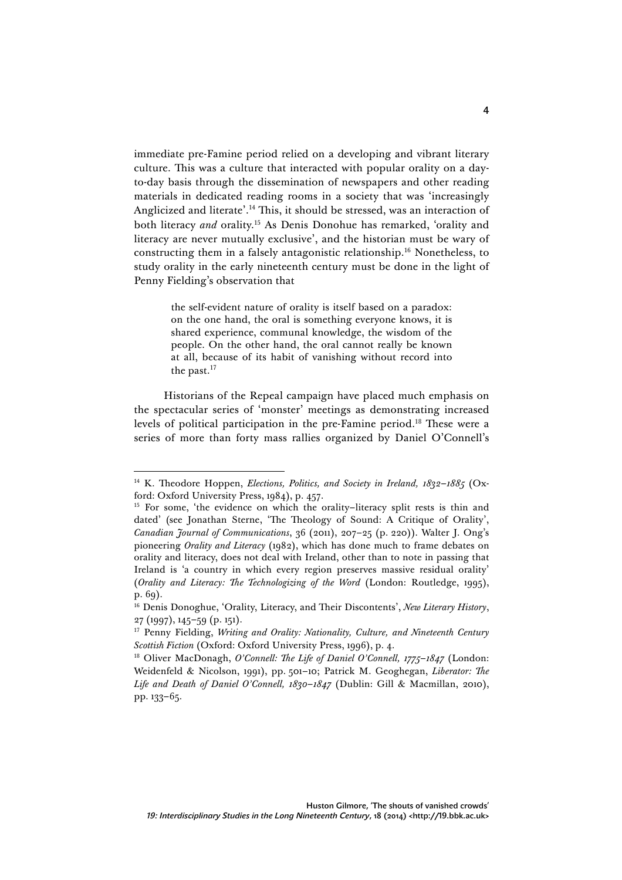immediate pre-Famine period relied on a developing and vibrant literary culture. This was a culture that interacted with popular orality on a dayto-day basis through the dissemination of newspapers and other reading materials in dedicated reading rooms in a society that was 'increasingly Anglicized and literate'. <sup>14</sup> This, it should be stressed, was an interaction of both literacy *and* orality.15 As Denis Donohue has remarked, 'orality and literacy are never mutually exclusive', and the historian must be wary of constructing them in a falsely antagonistic relationship.16 Nonetheless, to study orality in the early nineteenth century must be done in the light of Penny Fielding's observation that

> the self-evident nature of orality is itself based on a paradox: on the one hand, the oral is something everyone knows, it is shared experience, communal knowledge, the wisdom of the people. On the other hand, the oral cannot really be known at all, because of its habit of vanishing without record into the past.<sup>17</sup>

Historians of the Repeal campaign have placed much emphasis on the spectacular series of 'monster' meetings as demonstrating increased levels of political participation in the pre-Famine period.18 These were a series of more than forty mass rallies organized by Daniel O'Connell's

<sup>14</sup> K. Theodore Hoppen, *Elections, Politics, and Society in Ireland, 1832–1885* (Oxford: Oxford University Press, 1984), p. 457.

<sup>&</sup>lt;sup>15</sup> For some, 'the evidence on which the orality-literacy split rests is thin and dated' (see Jonathan Sterne, 'The Theology of Sound: A Critique of Orality', *Canadian Journal of Communications*, 36 (2011), 207–25 (p. 220)). Walter J. Ong's pioneering *Orality and Literacy* (1982), which has done much to frame debates on orality and literacy, does not deal with Ireland, other than to note in passing that Ireland is 'a country in which every region preserves massive residual orality' (*Orality and Literacy: The Technologizing of the Word* (London: Routledge, 1995), p. 69).

<sup>16</sup> Denis Donoghue, 'Orality, Literacy, and Their Discontents', *New Literary History*, 27 (1997), 145–59 (p. 151).

<sup>17</sup> Penny Fielding, *Writing and Orality: Nationality, Culture, and Nineteenth Century Scottish Fiction* (Oxford: Oxford University Press, 1996), p. 4.

<sup>18</sup> Oliver MacDonagh, *O'Connell: The Life of Daniel O'Connell, 1775–1847* (London: Weidenfeld & Nicolson, 1991), pp. 501–10; Patrick M. Geoghegan, *Liberator: The Life and Death of Daniel O'Connell, 1830–1847* (Dublin: Gill & Macmillan, 2010), pp. 133–65.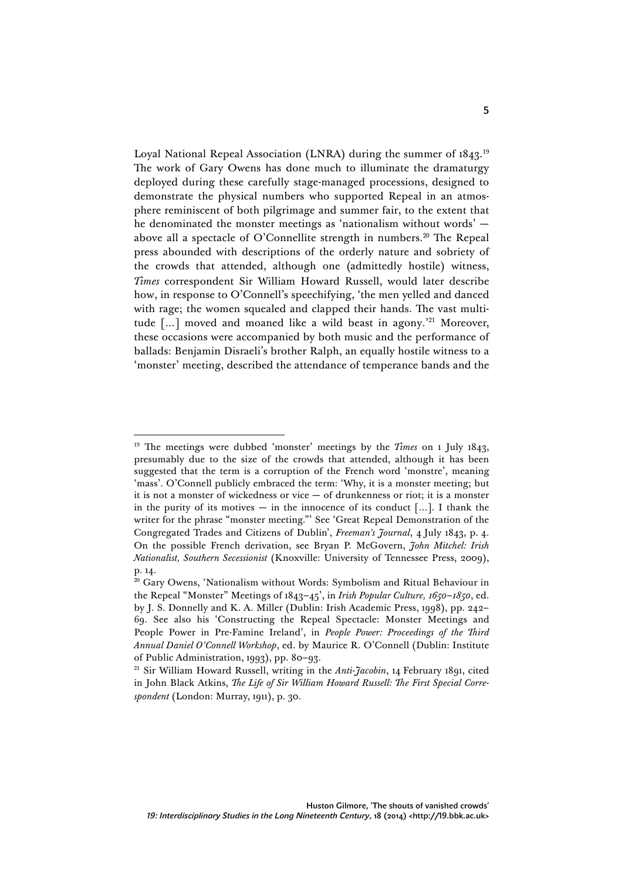Loyal National Repeal Association (LNRA) during the summer of 1843.<sup>19</sup> The work of Gary Owens has done much to illuminate the dramaturgy deployed during these carefully stage-managed processions, designed to demonstrate the physical numbers who supported Repeal in an atmosphere reminiscent of both pilgrimage and summer fair, to the extent that he denominated the monster meetings as 'nationalism without words' above all a spectacle of O'Connellite strength in numbers.<sup>20</sup> The Repeal press abounded with descriptions of the orderly nature and sobriety of the crowds that attended, although one (admittedly hostile) witness, *Times* correspondent Sir William Howard Russell, would later describe how, in response to O'Connell's speechifying, 'the men yelled and danced with rage; the women squealed and clapped their hands. The vast multitude  $\lceil ... \rceil$  moved and moaned like a wild beast in agony.<sup>21</sup> Moreover, these occasions were accompanied by both music and the performance of ballads: Benjamin Disraeli's brother Ralph, an equally hostile witness to a 'monster' meeting, described the attendance of temperance bands and the

<sup>&</sup>lt;sup>19</sup> The meetings were dubbed 'monster' meetings by the *Times* on 1 July 1843, presumably due to the size of the crowds that attended, although it has been suggested that the term is a corruption of the French word 'monstre', meaning 'mass'. O'Connell publicly embraced the term: 'Why, it is a monster meeting; but it is not a monster of wickedness or vice — of drunkenness or riot; it is a monster in the purity of its motives — in the innocence of its conduct  $[\dots]$ . I thank the writer for the phrase "monster meeting."' See 'Great Repeal Demonstration of the Congregated Trades and Citizens of Dublin', *Freeman's Journal*, 4 July 1843, p. 4. On the possible French derivation, see Bryan P. McGovern, *John Mitchel: Irish Nationalist, Southern Secessionist* (Knoxville: University of Tennessee Press, 2009), p. 14.

 $20$  Gary Owens, 'Nationalism without Words: Symbolism and Ritual Behaviour in the Repeal "Monster" Meetings of 1843–45', in *Irish Popular Culture, 1650–1850*, ed. by J. S. Donnelly and K. A. Miller (Dublin: Irish Academic Press, 1998), pp. 242– 69. See also his 'Constructing the Repeal Spectacle: Monster Meetings and People Power in Pre-Famine Ireland', in *People Power: Proceedings of the Third Annual Daniel O'Connell Workshop*, ed. by Maurice R. O'Connell (Dublin: Institute of Public Administration, 1993), pp. 80–93.

<sup>21</sup> Sir William Howard Russell, writing in the *Anti-Jacobin*, 14 February 1891, cited in John Black Atkins, *The Life of Sir William Howard Russell: The First Special Correspondent* (London: Murray, 1911), p. 30.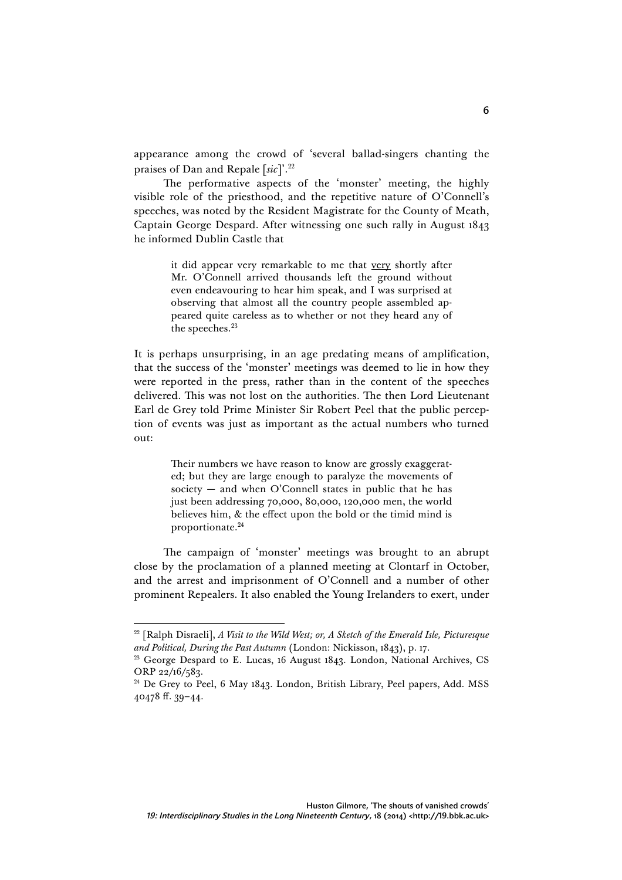appearance among the crowd of 'several ballad-singers chanting the praises of Dan and Repale [*sic*]'. 22

The performative aspects of the 'monster' meeting, the highly visible role of the priesthood, and the repetitive nature of O'Connell's speeches, was noted by the Resident Magistrate for the County of Meath, Captain George Despard. After witnessing one such rally in August 1843 he informed Dublin Castle that

> it did appear very remarkable to me that very shortly after Mr. O'Connell arrived thousands left the ground without even endeavouring to hear him speak, and I was surprised at observing that almost all the country people assembled appeared quite careless as to whether or not they heard any of the speeches.<sup>23</sup>

It is perhaps unsurprising, in an age predating means of amplification, that the success of the 'monster' meetings was deemed to lie in how they were reported in the press, rather than in the content of the speeches delivered. This was not lost on the authorities. The then Lord Lieutenant Earl de Grey told Prime Minister Sir Robert Peel that the public perception of events was just as important as the actual numbers who turned out:

> Their numbers we have reason to know are grossly exaggerated; but they are large enough to paralyze the movements of society — and when O'Connell states in public that he has just been addressing 70,000, 80,000, 120,000 men, the world believes him, & the effect upon the bold or the timid mind is proportionate.<sup>24</sup>

The campaign of 'monster' meetings was brought to an abrupt close by the proclamation of a planned meeting at Clontarf in October, and the arrest and imprisonment of O'Connell and a number of other prominent Repealers. It also enabled the Young Irelanders to exert, under

<sup>22</sup> [Ralph Disraeli], *A Visit to the Wild West; or, A Sketch of the Emerald Isle, Picturesque and Political, During the Past Autumn* (London: Nickisson, 1843), p. 17.

<sup>&</sup>lt;sup>23</sup> George Despard to E. Lucas, 16 August 1843. London, National Archives, CS ORP 22/16/583.

<sup>&</sup>lt;sup>24</sup> De Grey to Peel, 6 May 1843. London, British Library, Peel papers, Add. MSS 40478 ff. 39–44.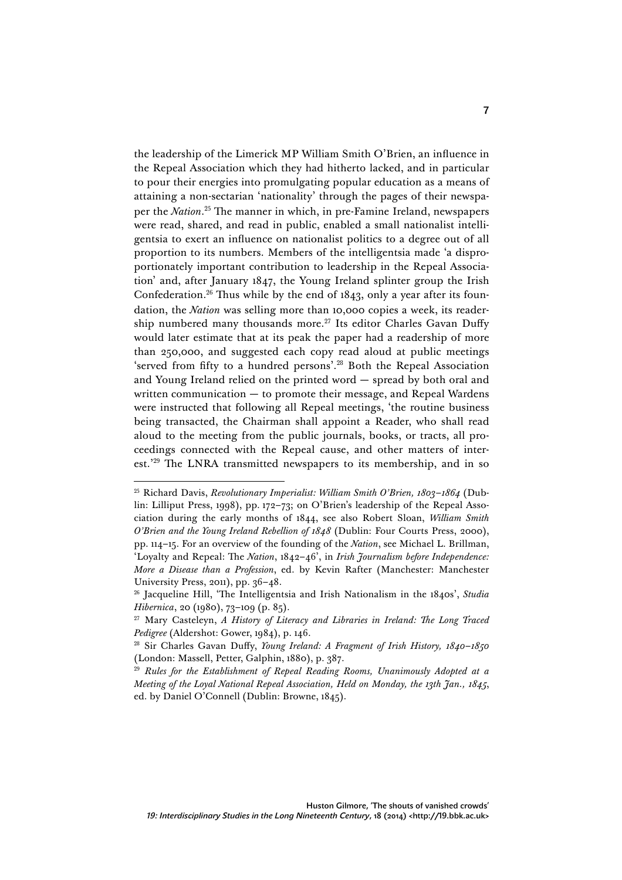the leadership of the Limerick MP William Smith O'Brien, an influence in the Repeal Association which they had hitherto lacked, and in particular to pour their energies into promulgating popular education as a means of attaining a non-sectarian 'nationality' through the pages of their newspaper the *Nation*. <sup>25</sup> The manner in which, in pre-Famine Ireland, newspapers were read, shared, and read in public, enabled a small nationalist intelligentsia to exert an influence on nationalist politics to a degree out of all proportion to its numbers. Members of the intelligentsia made 'a disproportionately important contribution to leadership in the Repeal Association' and, after January 1847, the Young Ireland splinter group the Irish Confederation.<sup>26</sup> Thus while by the end of  $1843$ , only a year after its foundation, the *Nation* was selling more than 10,000 copies a week, its readership numbered many thousands more.<sup>27</sup> Its editor Charles Gavan Duffy would later estimate that at its peak the paper had a readership of more than 250,000, and suggested each copy read aloud at public meetings 'served from fifty to a hundred persons'. <sup>28</sup> Both the Repeal Association and Young Ireland relied on the printed word — spread by both oral and written communication — to promote their message, and Repeal Wardens were instructed that following all Repeal meetings, 'the routine business being transacted, the Chairman shall appoint a Reader, who shall read aloud to the meeting from the public journals, books, or tracts, all proceedings connected with the Repeal cause, and other matters of interest.<sup>229</sup> The LNRA transmitted newspapers to its membership, and in so

<sup>25</sup> Richard Davis, *Revolutionary Imperialist: William Smith O'Brien, 1803–1864* (Dublin: Lilliput Press, 1998), pp. 172–73; on O'Brien's leadership of the Repeal Association during the early months of 1844, see also Robert Sloan, *William Smith O'Brien and the Young Ireland Rebellion of 1848* (Dublin: Four Courts Press, 2000), pp. 114–15. For an overview of the founding of the *Nation*, see Michael L. Brillman, 'Loyalty and Repeal: The *Nation*, 1842–46', in *Irish Journalism before Independence: More a Disease than a Profession*, ed. by Kevin Rafter (Manchester: Manchester University Press, 2011), pp. 36–48.

<sup>26</sup> Jacqueline Hill, 'The Intelligentsia and Irish Nationalism in the 1840s', *Studia Hibernica*, 20 (1980), 73–109 (p. 85).

<sup>27</sup> Mary Casteleyn, *A History of Literacy and Libraries in Ireland: The Long Traced Pedigree* (Aldershot: Gower, 1984), p. 146.

<sup>28</sup> Sir Charles Gavan Duffy, *Young Ireland: A Fragment of Irish History, 1840–1850* (London: Massell, Petter, Galphin, 1880), p. 387.

<sup>29</sup> *Rules for the Establishment of Repeal Reading Rooms, Unanimously Adopted at a Meeting of the Loyal National Repeal Association, Held on Monday, the 13th Jan., 1845*, ed. by Daniel O'Connell (Dublin: Browne, 1845).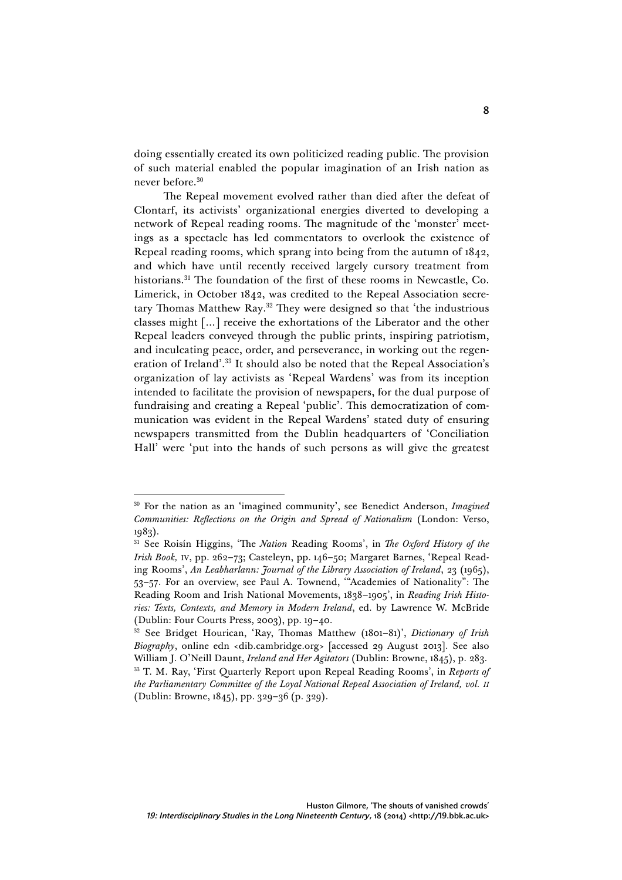doing essentially created its own politicized reading public. The provision of such material enabled the popular imagination of an Irish nation as never before.<sup>30</sup>

The Repeal movement evolved rather than died after the defeat of Clontarf, its activists' organizational energies diverted to developing a network of Repeal reading rooms. The magnitude of the 'monster' meetings as a spectacle has led commentators to overlook the existence of Repeal reading rooms, which sprang into being from the autumn of 1842, and which have until recently received largely cursory treatment from historians.31 The foundation of the first of these rooms in Newcastle, Co. Limerick, in October 1842, was credited to the Repeal Association secretary Thomas Matthew Ray. <sup>32</sup> They were designed so that 'the industrious classes might […] receive the exhortations of the Liberator and the other Repeal leaders conveyed through the public prints, inspiring patriotism, and inculcating peace, order, and perseverance, in working out the regeneration of Ireland'. <sup>33</sup> It should also be noted that the Repeal Association's organization of lay activists as 'Repeal Wardens' was from its inception intended to facilitate the provision of newspapers, for the dual purpose of fundraising and creating a Repeal 'public'. This democratization of communication was evident in the Repeal Wardens' stated duty of ensuring newspapers transmitted from the Dublin headquarters of 'Conciliation Hall' were 'put into the hands of such persons as will give the greatest

<sup>30</sup> For the nation as an 'imagined community', see Benedict Anderson, *Imagined Communities: Reflections on the Origin and Spread of Nationalism* (London: Verso, 1983).

<sup>31</sup> See Roisín Higgins, 'The *Nation* Reading Rooms', in *The Oxford History of the Irish Book,* IV, pp. 262–73; Casteleyn, pp. 146–50; Margaret Barnes, 'Repeal Reading Rooms', *An Leabharlann: Journal of the Library Association of Ireland*, 23 (1965), 53–57. For an overview, see Paul A. Townend, '"Academies of Nationality": The Reading Room and Irish National Movements, 1838–1905', in *Reading Irish Histories: Texts, Contexts, and Memory in Modern Ireland*, ed. by Lawrence W. McBride (Dublin: Four Courts Press, 2003), pp. 19–40.

<sup>32</sup> See Bridget Hourican, 'Ray, Thomas Matthew (1801–81)', *Dictionary of Irish Biography*, online edn <dib.cambridge.org> [accessed 29 August 2013]. See also William J. O'Neill Daunt, *Ireland and Her Agitators* (Dublin: Browne, 1845), p. 283. <sup>33</sup> T. M. Ray, 'First Quarterly Report upon Repeal Reading Rooms', in *Reports of the Parliamentary Committee of the Loyal National Repeal Association of Ireland, vol. II* (Dublin: Browne, 1845), pp. 329–36 (p. 329).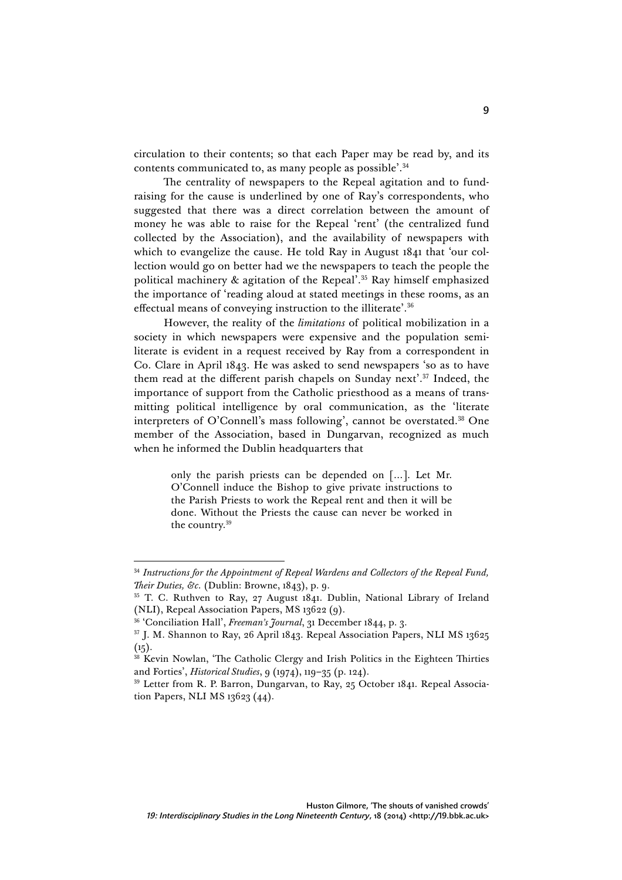circulation to their contents; so that each Paper may be read by, and its contents communicated to, as many people as possible'. 34

The centrality of newspapers to the Repeal agitation and to fundraising for the cause is underlined by one of Ray's correspondents, who suggested that there was a direct correlation between the amount of money he was able to raise for the Repeal 'rent' (the centralized fund collected by the Association), and the availability of newspapers with which to evangelize the cause. He told Ray in August 1841 that 'our collection would go on better had we the newspapers to teach the people the political machinery & agitation of the Repeal'. <sup>35</sup> Ray himself emphasized the importance of 'reading aloud at stated meetings in these rooms, as an effectual means of conveying instruction to the illiterate'. 36

However, the reality of the *limitations* of political mobilization in a society in which newspapers were expensive and the population semiliterate is evident in a request received by Ray from a correspondent in Co. Clare in April 1843. He was asked to send newspapers 'so as to have them read at the different parish chapels on Sunday next'. <sup>37</sup> Indeed, the importance of support from the Catholic priesthood as a means of transmitting political intelligence by oral communication, as the 'literate interpreters of O'Connell's mass following', cannot be overstated.38 One member of the Association, based in Dungarvan, recognized as much when he informed the Dublin headquarters that

> only the parish priests can be depended on […]. Let Mr. O'Connell induce the Bishop to give private instructions to the Parish Priests to work the Repeal rent and then it will be done. Without the Priests the cause can never be worked in the country.39

<sup>&</sup>lt;sup>34</sup> Instructions for the Appointment of Repeal Wardens and Collectors of the Repeal Fund, *Their Duties, &c.* (Dublin: Browne, 1843), p. 9.

<sup>&</sup>lt;sup>35</sup> T. C. Ruthven to Ray, 27 August 1841. Dublin, National Library of Ireland (NLI), Repeal Association Papers, MS 13622 (9).

<sup>36</sup> 'Conciliation Hall', *Freeman's Journal*, 31 December 1844, p. 3.

<sup>37</sup> J. M. Shannon to Ray, 26 April 1843. Repeal Association Papers, NLI MS 13625  $(15).$ 

<sup>&</sup>lt;sup>38</sup> Kevin Nowlan, 'The Catholic Clergy and Irish Politics in the Eighteen Thirties and Forties', *Historical Studies*, 9 (1974), 119–35 (p. 124).

<sup>&</sup>lt;sup>39</sup> Letter from R. P. Barron, Dungarvan, to Ray, 25 October 1841. Repeal Association Papers, NLI MS 13623 (44).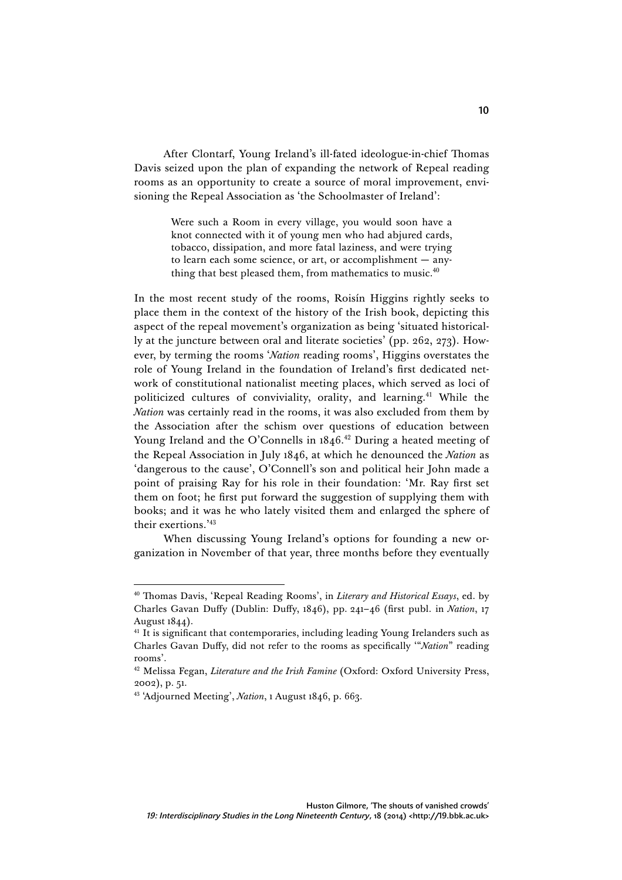After Clontarf, Young Ireland's ill-fated ideologue-in-chief Thomas Davis seized upon the plan of expanding the network of Repeal reading rooms as an opportunity to create a source of moral improvement, envisioning the Repeal Association as 'the Schoolmaster of Ireland':

> Were such a Room in every village, you would soon have a knot connected with it of young men who had abjured cards, tobacco, dissipation, and more fatal laziness, and were trying to learn each some science, or art, or accomplishment — anything that best pleased them, from mathematics to music.<sup>40</sup>

In the most recent study of the rooms, Roisín Higgins rightly seeks to place them in the context of the history of the Irish book, depicting this aspect of the repeal movement's organization as being 'situated historically at the juncture between oral and literate societies' (pp. 262, 273). However, by terming the rooms '*Nation* reading rooms', Higgins overstates the role of Young Ireland in the foundation of Ireland's first dedicated network of constitutional nationalist meeting places, which served as loci of politicized cultures of conviviality, orality, and learning.<sup>41</sup> While the *Nation* was certainly read in the rooms, it was also excluded from them by the Association after the schism over questions of education between Young Ireland and the O'Connells in 1846.<sup>42</sup> During a heated meeting of the Repeal Association in July 1846, at which he denounced the *Nation* as 'dangerous to the cause', O'Connell's son and political heir John made a point of praising Ray for his role in their foundation: 'Mr. Ray first set them on foot; he first put forward the suggestion of supplying them with books; and it was he who lately visited them and enlarged the sphere of their exertions.' 43

When discussing Young Ireland's options for founding a new organization in November of that year, three months before they eventually

<sup>40</sup> Thomas Davis, 'Repeal Reading Rooms', in *Literary and Historical Essays*, ed. by Charles Gavan Duffy (Dublin: Duffy, 1846), pp. 241–46 (first publ. in *Nation*, 17 August 1844).

<sup>&</sup>lt;sup>41</sup> It is significant that contemporaries, including leading Young Irelanders such as Charles Gavan Duffy, did not refer to the rooms as specifically '"*Nation*" reading rooms'.

<sup>42</sup> Melissa Fegan, *Literature and the Irish Famine* (Oxford: Oxford University Press, 2002), p. 51.

<sup>43</sup> 'Adjourned Meeting', *Nation*, 1 August 1846, p. 663.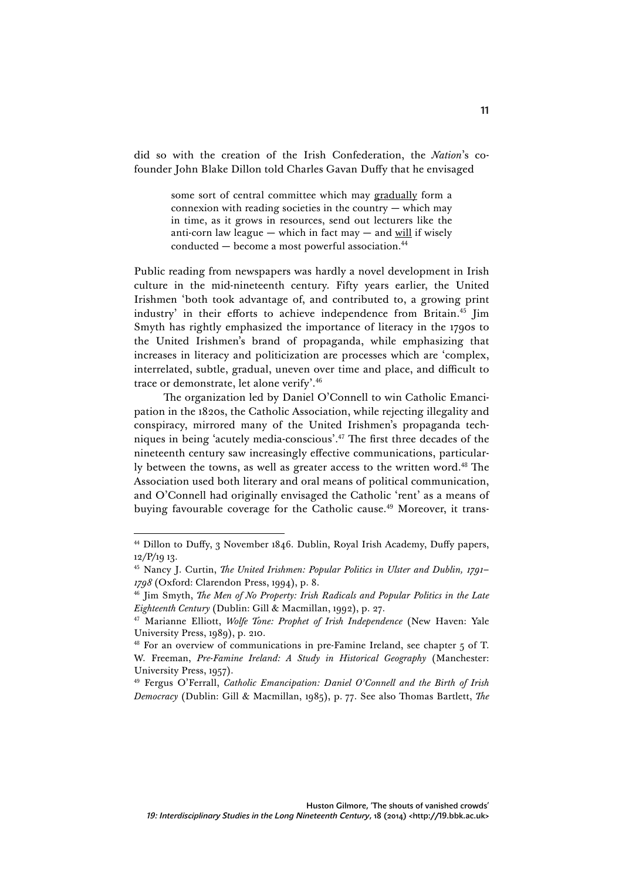did so with the creation of the Irish Confederation, the *Nation*'s cofounder John Blake Dillon told Charles Gavan Duffy that he envisaged

> some sort of central committee which may gradually form a connexion with reading societies in the country  $-$  which may in time, as it grows in resources, send out lecturers like the anti-corn law league — which in fact may — and will if wisely conducted — become a most powerful association.44

Public reading from newspapers was hardly a novel development in Irish culture in the mid-nineteenth century. Fifty years earlier, the United Irishmen 'both took advantage of, and contributed to, a growing print industry' in their efforts to achieve independence from Britain.<sup>45</sup> Jim Smyth has rightly emphasized the importance of literacy in the 1790s to the United Irishmen's brand of propaganda, while emphasizing that increases in literacy and politicization are processes which are 'complex, interrelated, subtle, gradual, uneven over time and place, and difficult to trace or demonstrate, let alone verify'. 46

The organization led by Daniel O'Connell to win Catholic Emancipation in the 1820s, the Catholic Association, while rejecting illegality and conspiracy, mirrored many of the United Irishmen's propaganda techniques in being 'acutely media-conscious'. <sup>47</sup> The first three decades of the nineteenth century saw increasingly effective communications, particularly between the towns, as well as greater access to the written word.<sup>48</sup> The Association used both literary and oral means of political communication, and O'Connell had originally envisaged the Catholic 'rent' as a means of buying favourable coverage for the Catholic cause.<sup>49</sup> Moreover, it trans-

<sup>44</sup> Dillon to Duffy, 3 November 1846. Dublin, Royal Irish Academy, Duffy papers, 12/P/19 13.

<sup>45</sup> Nancy J. Curtin, *The United Irishmen: Popular Politics in Ulster and Dublin, 1791– 1798* (Oxford: Clarendon Press, 1994), p. 8.

<sup>46</sup> Jim Smyth, *The Men of No Property: Irish Radicals and Popular Politics in the Late Eighteenth Century* (Dublin: Gill & Macmillan, 1992), p. 27.

<sup>47</sup> Marianne Elliott, *Wolfe Tone: Prophet of Irish Independence* (New Haven: Yale University Press, 1989), p. 210.

<sup>48</sup> For an overview of communications in pre-Famine Ireland, see chapter 5 of T. W. Freeman, *Pre-Famine Ireland: A Study in Historical Geography* (Manchester: University Press, 1957).

<sup>49</sup> Fergus O'Ferrall, *Catholic Emancipation: Daniel O'Connell and the Birth of Irish Democracy* (Dublin: Gill & Macmillan, 1985), p. 77. See also Thomas Bartlett, *The*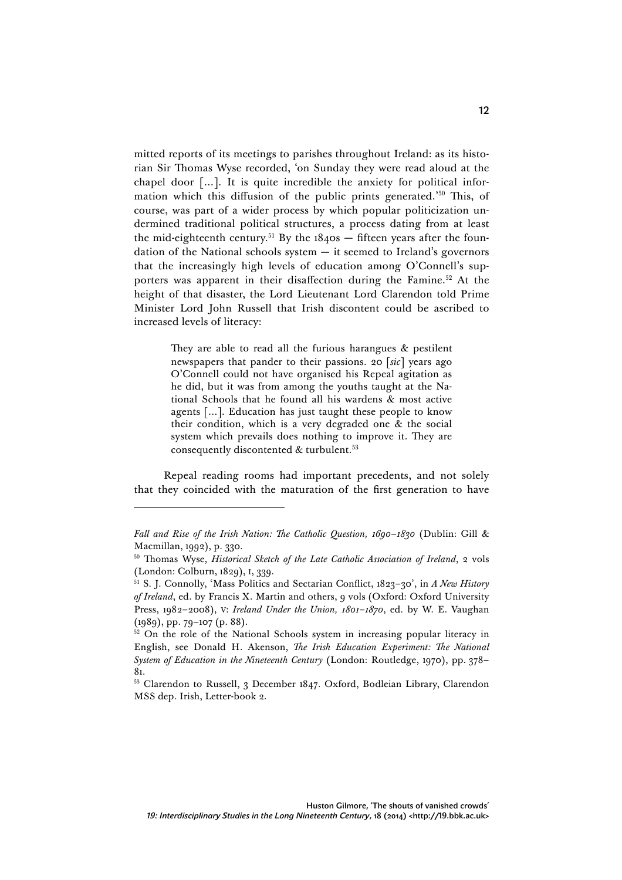mitted reports of its meetings to parishes throughout Ireland: as its historian Sir Thomas Wyse recorded, 'on Sunday they were read aloud at the chapel door […]. It is quite incredible the anxiety for political information which this diffusion of the public prints generated.' <sup>50</sup> This, of course, was part of a wider process by which popular politicization undermined traditional political structures, a process dating from at least the mid-eighteenth century.<sup>51</sup> By the  $1840s$  – fifteen years after the foundation of the National schools system  $-$  it seemed to Ireland's governors that the increasingly high levels of education among O'Connell's supporters was apparent in their disaffection during the Famine.<sup>52</sup> At the height of that disaster, the Lord Lieutenant Lord Clarendon told Prime Minister Lord John Russell that Irish discontent could be ascribed to increased levels of literacy:

> They are able to read all the furious harangues & pestilent newspapers that pander to their passions. 20 [*sic*] years ago O'Connell could not have organised his Repeal agitation as he did, but it was from among the youths taught at the National Schools that he found all his wardens & most active agents […]. Education has just taught these people to know their condition, which is a very degraded one & the social system which prevails does nothing to improve it. They are consequently discontented  $&$  turbulent.<sup>53</sup>

Repeal reading rooms had important precedents, and not solely that they coincided with the maturation of the first generation to have

*Fall and Rise of the Irish Nation: The Catholic Question, 1690–1830* (Dublin: Gill & Macmillan, 1992), p. 330.

<sup>50</sup> Thomas Wyse, *Historical Sketch of the Late Catholic Association of Ireland*, 2 vols (London: Colburn, 1829), I, 339.

<sup>51</sup> S. J. Connolly, 'Mass Politics and Sectarian Conflict, 1823–30', in *A New History of Ireland*, ed. by Francis X. Martin and others, 9 vols (Oxford: Oxford University Press, 1982–2008), V: *Ireland Under the Union, 1801–1870*, ed. by W. E. Vaughan (1989), pp. 79–107 (p. 88).

<sup>&</sup>lt;sup>52</sup> On the role of the National Schools system in increasing popular literacy in English, see Donald H. Akenson, *The Irish Education Experiment: The National System of Education in the Nineteenth Century* (London: Routledge, 1970), pp. 378– 81.

<sup>&</sup>lt;sup>53</sup> Clarendon to Russell, 3 December 1847. Oxford, Bodleian Library, Clarendon MSS dep. Irish, Letter-book 2.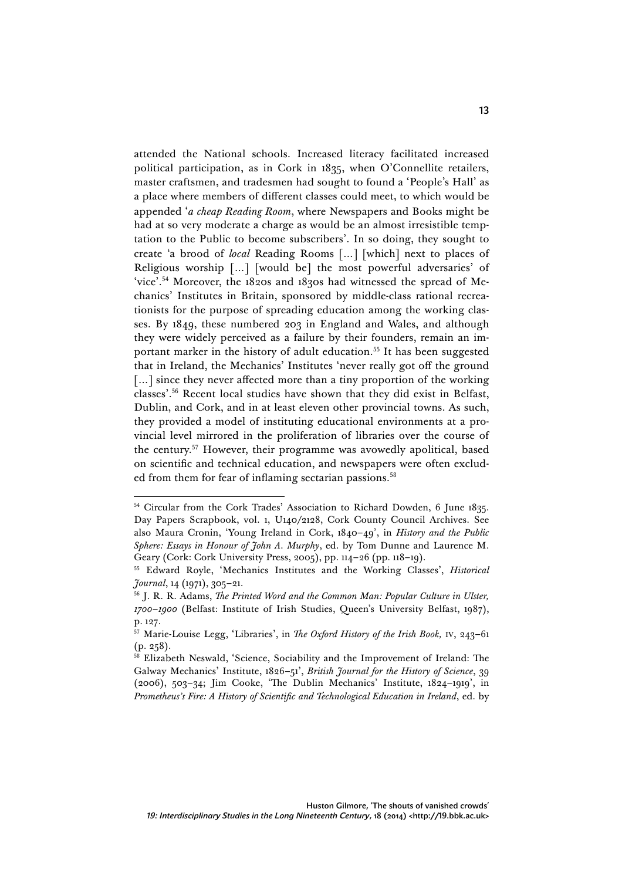attended the National schools. Increased literacy facilitated increased political participation, as in Cork in 1835, when O'Connellite retailers, master craftsmen, and tradesmen had sought to found a 'People's Hall' as a place where members of different classes could meet, to which would be appended '*a cheap Reading Room*, where Newspapers and Books might be had at so very moderate a charge as would be an almost irresistible temptation to the Public to become subscribers'. In so doing, they sought to create 'a brood of *local* Reading Rooms […] [which] next to places of Religious worship […] [would be] the most powerful adversaries' of 'vice'. <sup>54</sup> Moreover, the 1820s and 1830s had witnessed the spread of Mechanics' Institutes in Britain, sponsored by middle-class rational recreationists for the purpose of spreading education among the working classes. By 1849, these numbered 203 in England and Wales, and although they were widely perceived as a failure by their founders, remain an important marker in the history of adult education.<sup>55</sup> It has been suggested that in Ireland, the Mechanics' Institutes 'never really got off the ground [...] since they never affected more than a tiny proportion of the working classes'. <sup>56</sup> Recent local studies have shown that they did exist in Belfast, Dublin, and Cork, and in at least eleven other provincial towns. As such, they provided a model of instituting educational environments at a provincial level mirrored in the proliferation of libraries over the course of the century.57 However, their programme was avowedly apolitical, based on scientific and technical education, and newspapers were often excluded from them for fear of inflaming sectarian passions.<sup>58</sup>

<sup>&</sup>lt;sup>54</sup> Circular from the Cork Trades' Association to Richard Dowden, 6 June 1835. Day Papers Scrapbook, vol. 1, U140/2128, Cork County Council Archives. See also Maura Cronin, 'Young Ireland in Cork, 1840–49', in *History and the Public Sphere: Essays in Honour of John A. Murphy*, ed. by Tom Dunne and Laurence M. Geary (Cork: Cork University Press, 2005), pp. 114–26 (pp. 118–19).

<sup>55</sup> Edward Royle, 'Mechanics Institutes and the Working Classes', *Historical Journal*, 14 (1971), 305–21.

<sup>56</sup> J. R. R. Adams, *The Printed Word and the Common Man: Popular Culture in Ulster, 1700–1900* (Belfast: Institute of Irish Studies, Queen's University Belfast, 1987), p. 127.

<sup>57</sup> Marie-Louise Legg, 'Libraries', in *The Oxford History of the Irish Book,* IV, 243–61 (p. 258).

<sup>58</sup> Elizabeth Neswald, 'Science, Sociability and the Improvement of Ireland: The Galway Mechanics' Institute, 1826–51', *British Journal for the History of Science*, 39 (2006), 503–34; Jim Cooke, 'The Dublin Mechanics' Institute, 1824–1919', in *Prometheus's Fire: A History of Scientific and Technological Education in Ireland*, ed. by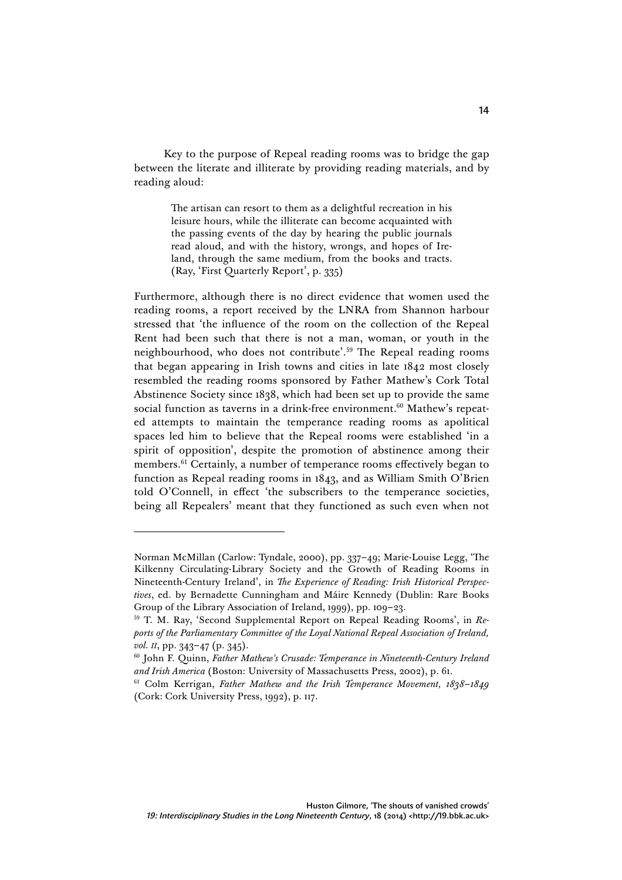Key to the purpose of Repeal reading rooms was to bridge the gap between the literate and illiterate by providing reading materials, and by reading aloud:

> The artisan can resort to them as a delightful recreation in his leisure hours, while the illiterate can become acquainted with the passing events of the day by hearing the public journals read aloud, and with the history, wrongs, and hopes of Ireland, through the same medium, from the books and tracts. (Ray, 'First Quarterly Report', p. 335)

Furthermore, although there is no direct evidence that women used the reading rooms, a report received by the LNRA from Shannon harbour stressed that 'the influence of the room on the collection of the Repeal Rent had been such that there is not a man, woman, or youth in the neighbourhood, who does not contribute'. <sup>59</sup> The Repeal reading rooms that began appearing in Irish towns and cities in late 1842 most closely resembled the reading rooms sponsored by Father Mathew's Cork Total Abstinence Society since 1838, which had been set up to provide the same social function as taverns in a drink-free environment.<sup>60</sup> Mathew's repeated attempts to maintain the temperance reading rooms as apolitical spaces led him to believe that the Repeal rooms were established 'in a spirit of opposition', despite the promotion of abstinence among their members.61 Certainly, a number of temperance rooms effectively began to function as Repeal reading rooms in 1843, and as William Smith O'Brien told O'Connell, in effect 'the subscribers to the temperance societies, being all Repealers' meant that they functioned as such even when not

Norman McMillan (Carlow: Tyndale, 2000), pp. 337–49; Marie-Louise Legg, 'The Kilkenny Circulating-Library Society and the Growth of Reading Rooms in Nineteenth-Century Ireland', in *The Experience of Reading: Irish Historical Perspectives*, ed. by Bernadette Cunningham and Máire Kennedy (Dublin: Rare Books Group of the Library Association of Ireland, 1999), pp. 109–23.

<sup>59</sup> T. M. Ray, 'Second Supplemental Report on Repeal Reading Rooms', in *Reports of the Parliamentary Committee of the Loyal National Repeal Association of Ireland, vol. II*, pp. 343–47 (p. 345).

<sup>60</sup> John F. Quinn, *Father Mathew's Crusade: Temperance in Nineteenth-Century Ireland and Irish America* (Boston: University of Massachusetts Press, 2002), p. 61.

<sup>61</sup> Colm Kerrigan, *Father Mathew and the Irish Temperance Movement, 1838–1849* (Cork: Cork University Press, 1992), p. 117.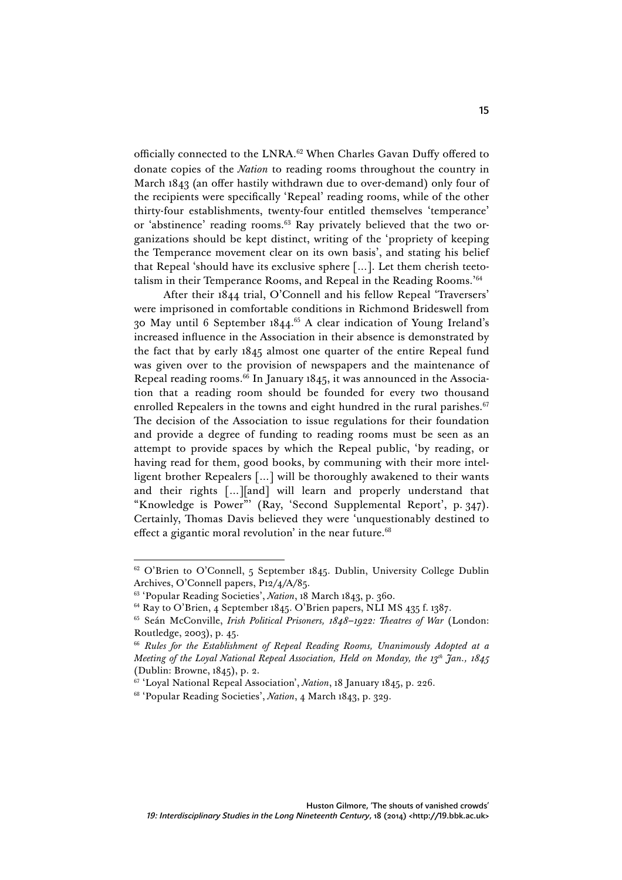officially connected to the LNRA.<sup>62</sup> When Charles Gavan Duffy offered to donate copies of the *Nation* to reading rooms throughout the country in March 1843 (an offer hastily withdrawn due to over-demand) only four of the recipients were specifically 'Repeal' reading rooms, while of the other thirty-four establishments, twenty-four entitled themselves 'temperance' or 'abstinence' reading rooms.63 Ray privately believed that the two organizations should be kept distinct, writing of the 'propriety of keeping the Temperance movement clear on its own basis', and stating his belief that Repeal 'should have its exclusive sphere […]. Let them cherish teetotalism in their Temperance Rooms, and Repeal in the Reading Rooms.' 64

After their 1844 trial, O'Connell and his fellow Repeal 'Traversers' were imprisoned in comfortable conditions in Richmond Brideswell from 30 May until 6 September 1844. <sup>65</sup> A clear indication of Young Ireland's increased influence in the Association in their absence is demonstrated by the fact that by early 1845 almost one quarter of the entire Repeal fund was given over to the provision of newspapers and the maintenance of Repeal reading rooms. <sup>66</sup> In January 1845, it was announced in the Association that a reading room should be founded for every two thousand enrolled Repealers in the towns and eight hundred in the rural parishes.<sup>67</sup> The decision of the Association to issue regulations for their foundation and provide a degree of funding to reading rooms must be seen as an attempt to provide spaces by which the Repeal public, 'by reading, or having read for them, good books, by communing with their more intelligent brother Repealers […] will be thoroughly awakened to their wants and their rights […][and] will learn and properly understand that "Knowledge is Power"' (Ray, 'Second Supplemental Report', p. 347). Certainly, Thomas Davis believed they were 'unquestionably destined to effect a gigantic moral revolution' in the near future. $68$ 

 $\overline{a}$  $62^{\circ}$  O'Brien to O'Connell, 5 September 1845. Dublin, University College Dublin Archives, O'Connell papers, P12/4/A/85.

<sup>63</sup> 'Popular Reading Societies', *Nation*, 18 March 1843, p. 360.

<sup>&</sup>lt;sup>64</sup> Ray to O'Brien, 4 September 1845. O'Brien papers, NLI MS 435 f. 1387.

<sup>65</sup> Seán McConville, *Irish Political Prisoners, 1848–1922: Theatres of War* (London: Routledge, 2003), p. 45.

<sup>66</sup> *Rules for the Establishment of Repeal Reading Rooms, Unanimously Adopted at a Meeting of the Loyal National Repeal Association, Held on Monday, the 13th Jan., 1845* (Dublin: Browne, 1845), p. 2.

<sup>67</sup> 'Loyal National Repeal Association', *Nation*, 18 January 1845, p. 226.

<sup>68</sup> 'Popular Reading Societies', *Nation*, 4 March 1843, p. 329.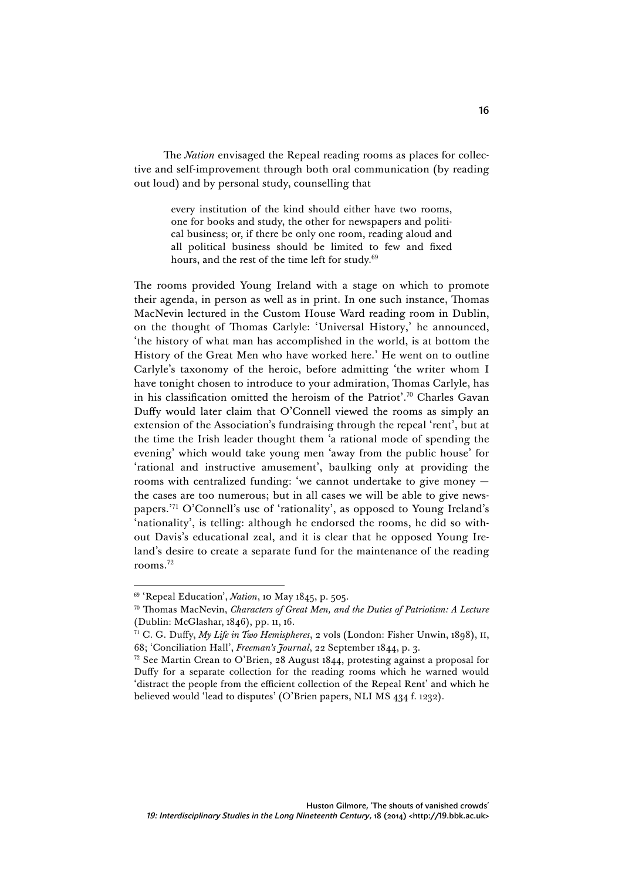The *Nation* envisaged the Repeal reading rooms as places for collective and self-improvement through both oral communication (by reading out loud) and by personal study, counselling that

> every institution of the kind should either have two rooms, one for books and study, the other for newspapers and political business; or, if there be only one room, reading aloud and all political business should be limited to few and fixed hours, and the rest of the time left for study.<sup>69</sup>

The rooms provided Young Ireland with a stage on which to promote their agenda, in person as well as in print. In one such instance, Thomas MacNevin lectured in the Custom House Ward reading room in Dublin, on the thought of Thomas Carlyle: 'Universal History,' he announced, 'the history of what man has accomplished in the world, is at bottom the History of the Great Men who have worked here.' He went on to outline Carlyle's taxonomy of the heroic, before admitting 'the writer whom I have tonight chosen to introduce to your admiration, Thomas Carlyle, has in his classification omitted the heroism of the Patriot'. <sup>70</sup> Charles Gavan Duffy would later claim that O'Connell viewed the rooms as simply an extension of the Association's fundraising through the repeal 'rent', but at the time the Irish leader thought them 'a rational mode of spending the evening' which would take young men 'away from the public house' for 'rational and instructive amusement', baulking only at providing the rooms with centralized funding: 'we cannot undertake to give money the cases are too numerous; but in all cases we will be able to give newspapers.' <sup>71</sup> O'Connell's use of 'rationality', as opposed to Young Ireland's 'nationality', is telling: although he endorsed the rooms, he did so without Davis's educational zeal, and it is clear that he opposed Young Ireland's desire to create a separate fund for the maintenance of the reading rooms.72

<sup>69</sup> 'Repeal Education', *Nation*, 10 May 1845, p. 505.

<sup>70</sup> Thomas MacNevin, *Characters of Great Men, and the Duties of Patriotism: A Lecture* (Dublin: McGlashar, 1846), pp. 11, 16.

<sup>71</sup> C. G. Duffy, *My Life in Two Hemispheres*, 2 vols (London: Fisher Unwin, 1898), II, 68; 'Conciliation Hall', *Freeman's Journal*, 22 September 1844, p. 3.

 $72$  See Martin Crean to O'Brien, 28 August 1844, protesting against a proposal for Duffy for a separate collection for the reading rooms which he warned would 'distract the people from the efficient collection of the Repeal Rent' and which he believed would 'lead to disputes' (O'Brien papers, NLI MS 434 f. 1232).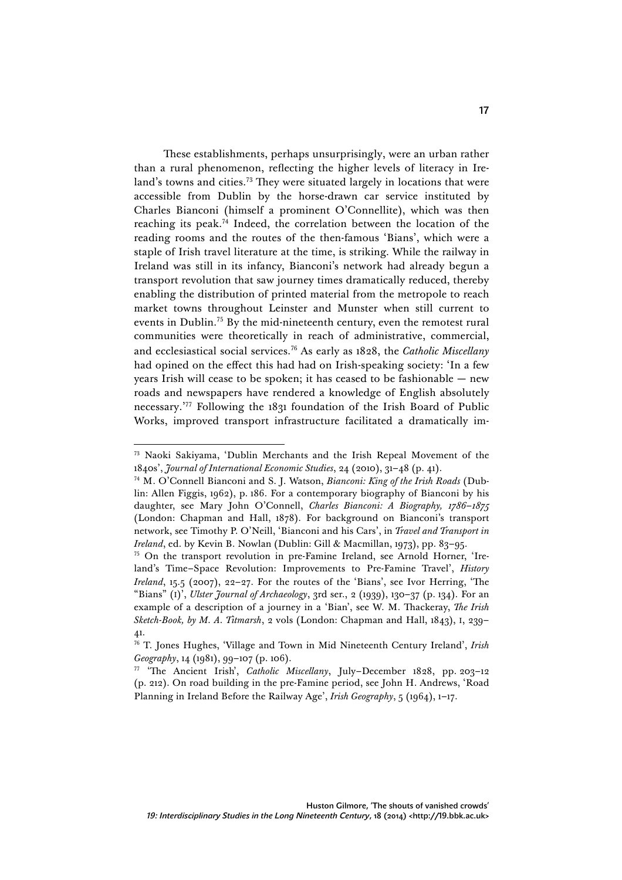These establishments, perhaps unsurprisingly, were an urban rather than a rural phenomenon, reflecting the higher levels of literacy in Ireland's towns and cities.<sup>73</sup> They were situated largely in locations that were accessible from Dublin by the horse-drawn car service instituted by Charles Bianconi (himself a prominent O'Connellite), which was then reaching its peak. <sup>74</sup> Indeed, the correlation between the location of the reading rooms and the routes of the then-famous 'Bians', which were a staple of Irish travel literature at the time, is striking. While the railway in Ireland was still in its infancy, Bianconi's network had already begun a transport revolution that saw journey times dramatically reduced, thereby enabling the distribution of printed material from the metropole to reach market towns throughout Leinster and Munster when still current to events in Dublin.<sup>75</sup> By the mid-nineteenth century, even the remotest rural communities were theoretically in reach of administrative, commercial, and ecclesiastical social services.76 As early as 1828, the *Catholic Miscellany*  had opined on the effect this had had on Irish-speaking society: 'In a few years Irish will cease to be spoken; it has ceased to be fashionable — new roads and newspapers have rendered a knowledge of English absolutely necessary.' <sup>77</sup> Following the 1831 foundation of the Irish Board of Public Works, improved transport infrastructure facilitated a dramatically im-

<sup>73</sup> Naoki Sakiyama, 'Dublin Merchants and the Irish Repeal Movement of the 1840s', *Journal of International Economic Studies*, 24 (2010), 31–48 (p. 41).

<sup>74</sup> M. O'Connell Bianconi and S. J. Watson, *Bianconi: King of the Irish Roads* (Dublin: Allen Figgis, 1962), p. 186. For a contemporary biography of Bianconi by his daughter, see Mary John O'Connell, *Charles Bianconi: A Biography, 1786–1875* (London: Chapman and Hall, 1878). For background on Bianconi's transport network, see Timothy P. O'Neill, 'Bianconi and his Cars', in *Travel and Transport in Ireland*, ed. by Kevin B. Nowlan (Dublin: Gill & Macmillan, 1973), pp. 83–95.

<sup>75</sup> On the transport revolution in pre-Famine Ireland, see Arnold Horner, 'Ireland's Time–Space Revolution: Improvements to Pre-Famine Travel', *History Ireland*, 15.5 (2007), 22–27. For the routes of the 'Bians', see Ivor Herring, 'The "Bians" (I)', *Ulster Journal of Archaeology*, 3rd ser., 2 (1939), 130–37 (p. 134). For an example of a description of a journey in a 'Bian', see W. M. Thackeray, *The Irish Sketch-Book, by M. A. Titmarsh*, 2 vols (London: Chapman and Hall, 1843), I, 239– 41.

<sup>76</sup> T. Jones Hughes, 'Village and Town in Mid Nineteenth Century Ireland', *Irish Geography*, 14 (1981), 99–107 (p. 106).

<sup>77</sup> 'The Ancient Irish', *Catholic Miscellany*, July–December 1828, pp. 203–12 (p. 212). On road building in the pre-Famine period, see John H. Andrews, 'Road Planning in Ireland Before the Railway Age', *Irish Geography*, 5 (1964), 1–17.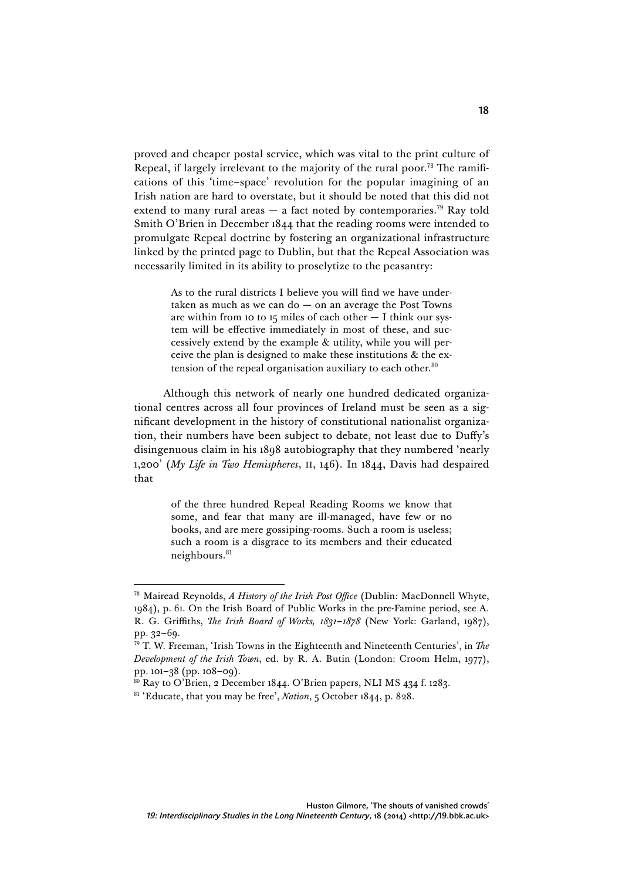proved and cheaper postal service, which was vital to the print culture of Repeal, if largely irrelevant to the majority of the rural poor.<sup>78</sup> The ramifications of this 'time–space' revolution for the popular imagining of an Irish nation are hard to overstate, but it should be noted that this did not extend to many rural areas  $-$  a fact noted by contemporaries.<sup>79</sup> Ray told Smith O'Brien in December 1844 that the reading rooms were intended to promulgate Repeal doctrine by fostering an organizational infrastructure linked by the printed page to Dublin, but that the Repeal Association was necessarily limited in its ability to proselytize to the peasantry:

> As to the rural districts I believe you will find we have undertaken as much as we can do  $-$  on an average the Post Towns are within from 10 to 15 miles of each other — I think our system will be effective immediately in most of these, and successively extend by the example & utility, while you will perceive the plan is designed to make these institutions & the extension of the repeal organisation auxiliary to each other. $80$

Although this network of nearly one hundred dedicated organizational centres across all four provinces of Ireland must be seen as a significant development in the history of constitutional nationalist organization, their numbers have been subject to debate, not least due to Duffy's disingenuous claim in his 1898 autobiography that they numbered 'nearly 1,200' (*My Life in Two Hemispheres*, II, 146). In 1844, Davis had despaired that

> of the three hundred Repeal Reading Rooms we know that some, and fear that many are ill-managed, have few or no books, and are mere gossiping-rooms. Such a room is useless; such a room is a disgrace to its members and their educated neighbours.<sup>81</sup>

<sup>78</sup> Mairead Reynolds, *A History of the Irish Post Office* (Dublin: MacDonnell Whyte, 1984), p. 61. On the Irish Board of Public Works in the pre-Famine period, see A. R. G. Griffiths, *The Irish Board of Works, 1831–1878* (New York: Garland, 1987), pp. 32–69.

<sup>79</sup> T. W. Freeman, 'Irish Towns in the Eighteenth and Nineteenth Centuries', in *The Development of the Irish Town*, ed. by R. A. Butin (London: Croom Helm, 1977), pp. 101–38 (pp. 108–09).

 $80$  Ray to O'Brien, 2 December 1844. O'Brien papers, NLI MS 434 f. 1283.

<sup>&</sup>lt;sup>81</sup> 'Educate, that you may be free', *Nation*, 5 October 1844, p. 828.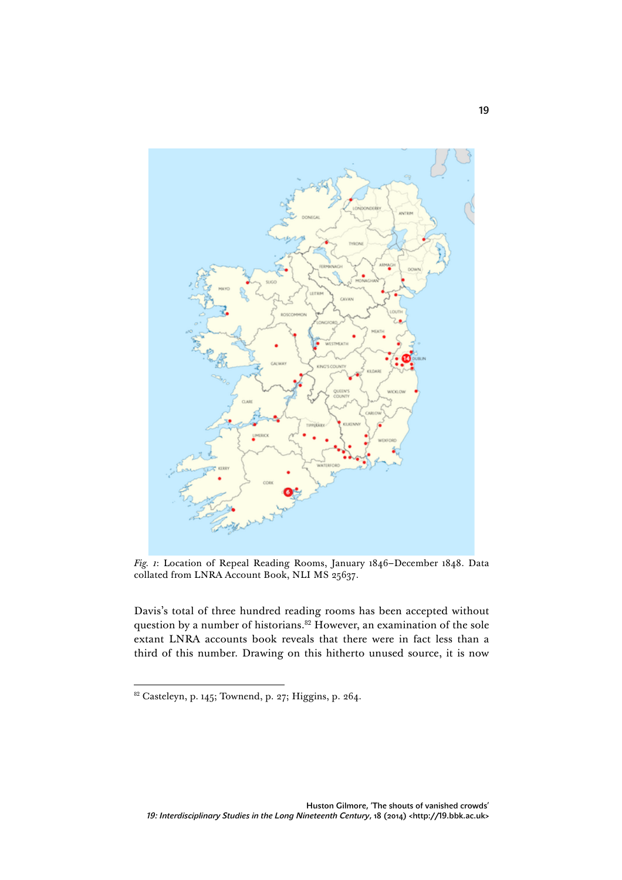

*Fig. 1*: Location of Repeal Reading Rooms, January 1846–December 1848. Data collated from LNRA Account Book, NLI MS 25637.

Davis's total of three hundred reading rooms has been accepted without question by a number of historians.<sup>82</sup> However, an examination of the sole extant LNRA accounts book reveals that there were in fact less than a third of this number. Drawing on this hitherto unused source, it is now

 $\overline{a}$  $82$  Casteleyn, p. 145; Townend, p. 27; Higgins, p. 264.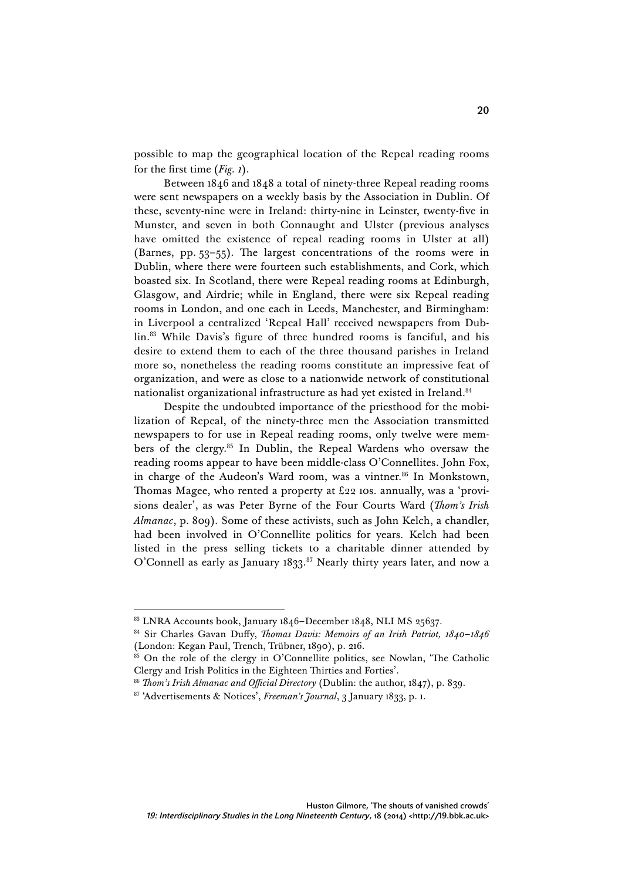possible to map the geographical location of the Repeal reading rooms for the first time (*Fig. 1*).

Between 1846 and 1848 a total of ninety-three Repeal reading rooms were sent newspapers on a weekly basis by the Association in Dublin. Of these, seventy-nine were in Ireland: thirty-nine in Leinster, twenty-five in Munster, and seven in both Connaught and Ulster (previous analyses have omitted the existence of repeal reading rooms in Ulster at all) (Barnes, pp. 53–55). The largest concentrations of the rooms were in Dublin, where there were fourteen such establishments, and Cork, which boasted six. In Scotland, there were Repeal reading rooms at Edinburgh, Glasgow, and Airdrie; while in England, there were six Repeal reading rooms in London, and one each in Leeds, Manchester, and Birmingham: in Liverpool a centralized 'Repeal Hall' received newspapers from Dublin. <sup>83</sup> While Davis's figure of three hundred rooms is fanciful, and his desire to extend them to each of the three thousand parishes in Ireland more so, nonetheless the reading rooms constitute an impressive feat of organization, and were as close to a nationwide network of constitutional nationalist organizational infrastructure as had yet existed in Ireland.<sup>84</sup>

Despite the undoubted importance of the priesthood for the mobilization of Repeal, of the ninety-three men the Association transmitted newspapers to for use in Repeal reading rooms, only twelve were members of the clergy.85 In Dublin, the Repeal Wardens who oversaw the reading rooms appear to have been middle-class O'Connellites. John Fox, in charge of the Audeon's Ward room, was a vintner.<sup>86</sup> In Monkstown, Thomas Magee, who rented a property at £22 10s. annually, was a 'provisions dealer', as was Peter Byrne of the Four Courts Ward (*Thom's Irish Almanac*, p. 809). Some of these activists, such as John Kelch, a chandler, had been involved in O'Connellite politics for years. Kelch had been listed in the press selling tickets to a charitable dinner attended by O'Connell as early as January 1833. <sup>87</sup> Nearly thirty years later, and now a

 $\overline{a}$ 83 LNRA Accounts book, January 1846–December 1848, NLI MS 25637.

<sup>84</sup> Sir Charles Gavan Duffy, *Thomas Davis: Memoirs of an Irish Patriot, 1840–1846* (London: Kegan Paul, Trench, Trübner, 1890), p. 216.

 $85$  On the role of the clergy in O'Connellite politics, see Nowlan, 'The Catholic Clergy and Irish Politics in the Eighteen Thirties and Forties'.

<sup>86</sup> *Thom's Irish Almanac and Official Directory* (Dublin: the author, 1847), p. 839.

<sup>87</sup> 'Advertisements & Notices', *Freeman's Journal*, 3 January 1833, p. 1.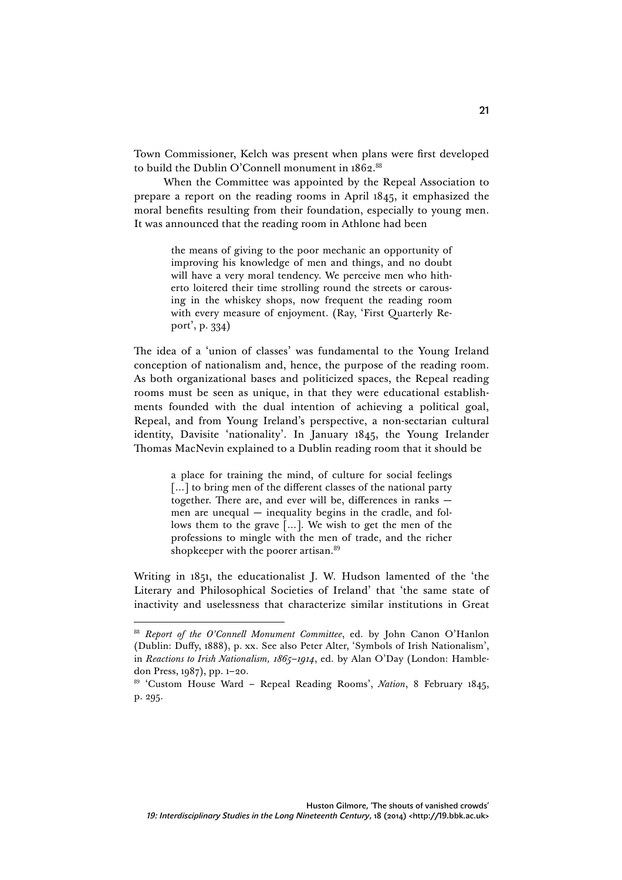Town Commissioner, Kelch was present when plans were first developed to build the Dublin O'Connell monument in 1862. 88

When the Committee was appointed by the Repeal Association to prepare a report on the reading rooms in April 1845, it emphasized the moral benefits resulting from their foundation, especially to young men. It was announced that the reading room in Athlone had been

> the means of giving to the poor mechanic an opportunity of improving his knowledge of men and things, and no doubt will have a very moral tendency. We perceive men who hitherto loitered their time strolling round the streets or carousing in the whiskey shops, now frequent the reading room with every measure of enjoyment. (Ray, 'First Quarterly Report', p. 334)

The idea of a 'union of classes' was fundamental to the Young Ireland conception of nationalism and, hence, the purpose of the reading room. As both organizational bases and politicized spaces, the Repeal reading rooms must be seen as unique, in that they were educational establishments founded with the dual intention of achieving a political goal, Repeal, and from Young Ireland's perspective, a non-sectarian cultural identity, Davisite 'nationality'. In January 1845, the Young Irelander Thomas MacNevin explained to a Dublin reading room that it should be

> a place for training the mind, of culture for social feelings [...] to bring men of the different classes of the national party together. There are, and ever will be, differences in ranks men are unequal — inequality begins in the cradle, and follows them to the grave […]. We wish to get the men of the professions to mingle with the men of trade, and the richer shopkeeper with the poorer artisan.<sup>89</sup>

Writing in 1851, the educationalist J. W. Hudson lamented of the 'the Literary and Philosophical Societies of Ireland' that 'the same state of inactivity and uselessness that characterize similar institutions in Great

<sup>88</sup> *Report of the O'Connell Monument Committee*, ed. by John Canon O'Hanlon (Dublin: Duffy, 1888), p. xx. See also Peter Alter, 'Symbols of Irish Nationalism', in *Reactions to Irish Nationalism, 1865–1914*, ed. by Alan O'Day (London: Hambledon Press, 1987), pp. 1–20.

<sup>89</sup> 'Custom House Ward – Repeal Reading Rooms', *Nation*, 8 February 1845, p. 295.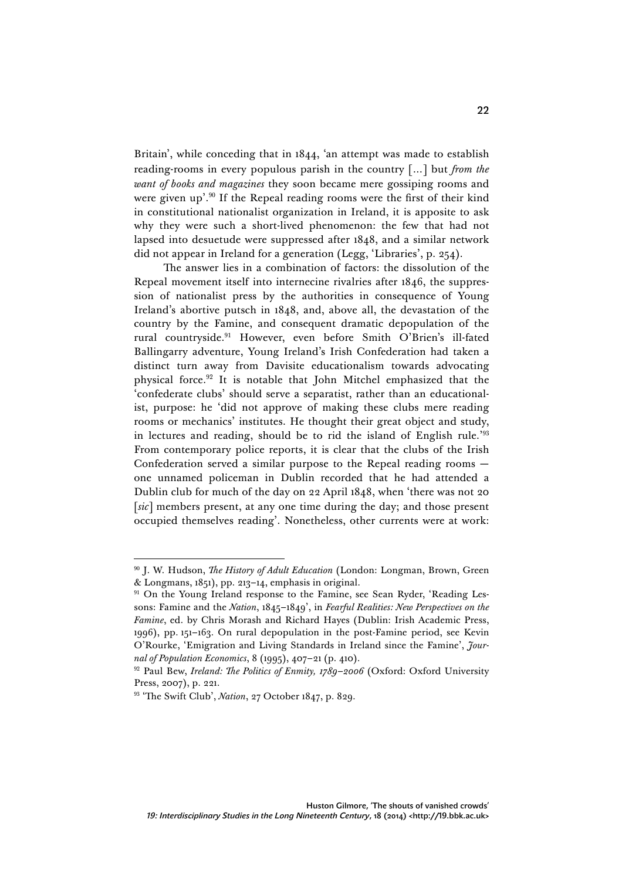Britain', while conceding that in 1844, 'an attempt was made to establish reading-rooms in every populous parish in the country […] but *from the want of books and magazines* they soon became mere gossiping rooms and were given up'. <sup>90</sup> If the Repeal reading rooms were the first of their kind in constitutional nationalist organization in Ireland, it is apposite to ask why they were such a short-lived phenomenon: the few that had not lapsed into desuetude were suppressed after 1848, and a similar network did not appear in Ireland for a generation (Legg, 'Libraries', p. 254).

The answer lies in a combination of factors: the dissolution of the Repeal movement itself into internecine rivalries after 1846, the suppression of nationalist press by the authorities in consequence of Young Ireland's abortive putsch in 1848, and, above all, the devastation of the country by the Famine, and consequent dramatic depopulation of the rural countryside.91 However, even before Smith O'Brien's ill-fated Ballingarry adventure, Young Ireland's Irish Confederation had taken a distinct turn away from Davisite educationalism towards advocating physical force. <sup>92</sup> It is notable that John Mitchel emphasized that the 'confederate clubs' should serve a separatist, rather than an educationalist, purpose: he 'did not approve of making these clubs mere reading rooms or mechanics' institutes. He thought their great object and study, in lectures and reading, should be to rid the island of English rule.'<sup>93</sup> From contemporary police reports, it is clear that the clubs of the Irish Confederation served a similar purpose to the Repeal reading rooms one unnamed policeman in Dublin recorded that he had attended a Dublin club for much of the day on 22 April 1848, when 'there was not 20 [*sic*] members present, at any one time during the day; and those present occupied themselves reading'. Nonetheless, other currents were at work:

<sup>90</sup> J. W. Hudson, *The History of Adult Education* (London: Longman, Brown, Green & Longmans, 1851), pp. 213–14, emphasis in original.

<sup>&</sup>lt;sup>91</sup> On the Young Ireland response to the Famine, see Sean Ryder, 'Reading Lessons: Famine and the *Nation*, 1845–1849', in *Fearful Realities: New Perspectives on the Famine*, ed. by Chris Morash and Richard Hayes (Dublin: Irish Academic Press, 1996), pp. 151–163. On rural depopulation in the post-Famine period, see Kevin O'Rourke, 'Emigration and Living Standards in Ireland since the Famine', *Journal of Population Economics*, 8 (1995), 407–21 (p. 410).

<sup>92</sup> Paul Bew, *Ireland: The Politics of Enmity, 1789–2006* (Oxford: Oxford University Press, 2007), p. 221.

<sup>93</sup> 'The Swift Club', *Nation*, 27 October 1847, p. 829.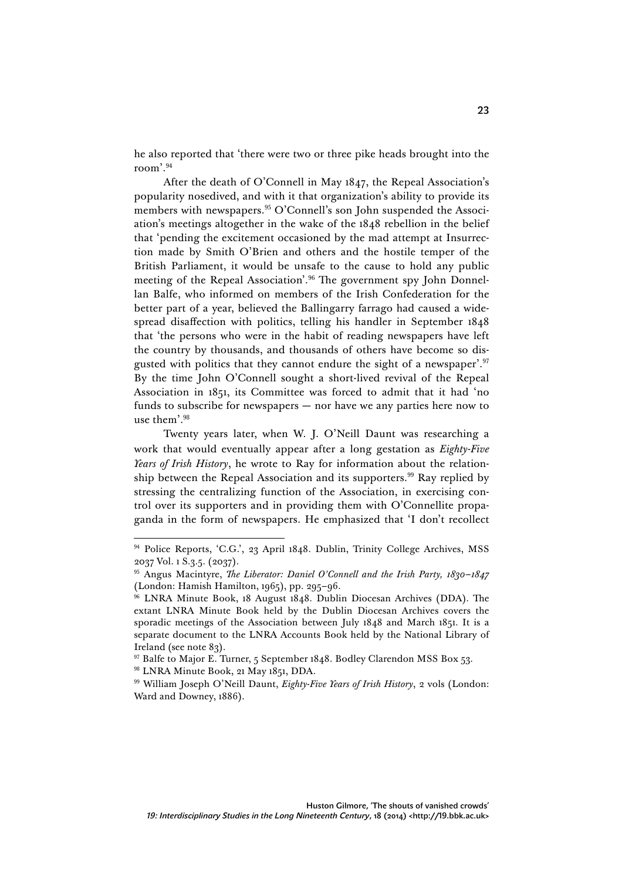he also reported that 'there were two or three pike heads brought into the room'. 94

After the death of O'Connell in May 1847, the Repeal Association's popularity nosedived, and with it that organization's ability to provide its members with newspapers.<sup>95</sup> O'Connell's son John suspended the Association's meetings altogether in the wake of the 1848 rebellion in the belief that 'pending the excitement occasioned by the mad attempt at Insurrection made by Smith O'Brien and others and the hostile temper of the British Parliament, it would be unsafe to the cause to hold any public meeting of the Repeal Association'. <sup>96</sup> The government spy John Donnellan Balfe, who informed on members of the Irish Confederation for the better part of a year, believed the Ballingarry farrago had caused a widespread disaffection with politics, telling his handler in September 1848 that 'the persons who were in the habit of reading newspapers have left the country by thousands, and thousands of others have become so disgusted with politics that they cannot endure the sight of a newspaper'.<sup>97</sup> By the time John O'Connell sought a short-lived revival of the Repeal Association in 1851, its Committee was forced to admit that it had 'no funds to subscribe for newspapers — nor have we any parties here now to use them'. 98

Twenty years later, when W. J. O'Neill Daunt was researching a work that would eventually appear after a long gestation as *Eighty-Five Years of Irish History*, he wrote to Ray for information about the relationship between the Repeal Association and its supporters.<sup>99</sup> Ray replied by stressing the centralizing function of the Association, in exercising control over its supporters and in providing them with O'Connellite propaganda in the form of newspapers. He emphasized that 'I don't recollect

<sup>&</sup>lt;sup>94</sup> Police Reports, 'C.G.', 23 April 1848. Dublin, Trinity College Archives, MSS 2037 Vol. 1 S.3.5. (2037).

<sup>95</sup> Angus Macintyre, *The Liberator: Daniel O'Connell and the Irish Party, 1830–1847* (London: Hamish Hamilton, 1965), pp. 295–96.

<sup>96</sup> LNRA Minute Book, 18 August 1848. Dublin Diocesan Archives (DDA). The extant LNRA Minute Book held by the Dublin Diocesan Archives covers the sporadic meetings of the Association between July 1848 and March 1851. It is a separate document to the LNRA Accounts Book held by the National Library of Ireland (see note 83).

<sup>&</sup>lt;sup>97</sup> Balfe to Major E. Turner, 5 September 1848. Bodley Clarendon MSS Box 53.

<sup>98</sup> LNRA Minute Book, 21 May 1851, DDA.

<sup>99</sup> William Joseph O'Neill Daunt, *Eighty-Five Years of Irish History*, 2 vols (London: Ward and Downey, 1886).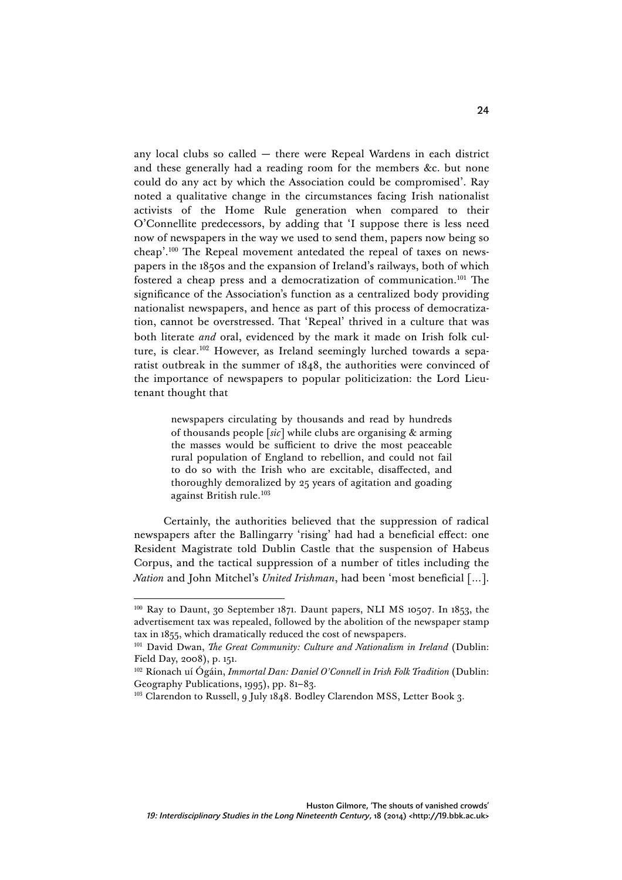any local clubs so called — there were Repeal Wardens in each district and these generally had a reading room for the members &c. but none could do any act by which the Association could be compromised'. Ray noted a qualitative change in the circumstances facing Irish nationalist activists of the Home Rule generation when compared to their O'Connellite predecessors, by adding that 'I suppose there is less need now of newspapers in the way we used to send them, papers now being so cheap'. <sup>100</sup> The Repeal movement antedated the repeal of taxes on newspapers in the 1850s and the expansion of Ireland's railways, both of which fostered a cheap press and a democratization of communication.101 The significance of the Association's function as a centralized body providing nationalist newspapers, and hence as part of this process of democratization, cannot be overstressed. That 'Repeal' thrived in a culture that was both literate *and* oral, evidenced by the mark it made on Irish folk culture, is clear. <sup>102</sup> However, as Ireland seemingly lurched towards a separatist outbreak in the summer of 1848, the authorities were convinced of the importance of newspapers to popular politicization: the Lord Lieutenant thought that

> newspapers circulating by thousands and read by hundreds of thousands people [*sic*] while clubs are organising & arming the masses would be sufficient to drive the most peaceable rural population of England to rebellion, and could not fail to do so with the Irish who are excitable, disaffected, and thoroughly demoralized by 25 years of agitation and goading against British rule.<sup>103</sup>

Certainly, the authorities believed that the suppression of radical newspapers after the Ballingarry 'rising' had had a beneficial effect: one Resident Magistrate told Dublin Castle that the suspension of Habeus Corpus, and the tactical suppression of a number of titles including the *Nation* and John Mitchel's *United Irishman*, had been 'most beneficial […].

<sup>100</sup> Ray to Daunt, 30 September 1871. Daunt papers, NLI MS 10507. In 1853, the advertisement tax was repealed, followed by the abolition of the newspaper stamp tax in 1855, which dramatically reduced the cost of newspapers.

<sup>101</sup> David Dwan, *The Great Community: Culture and Nationalism in Ireland* (Dublin: Field Day, 2008), p. 151.

<sup>102</sup> Ríonach uí Ógáin, *Immortal Dan: Daniel O'Connell in Irish Folk Tradition* (Dublin: Geography Publications, 1995), pp. 81–83.

<sup>&</sup>lt;sup>103</sup> Clarendon to Russell, 9 July 1848. Bodley Clarendon MSS, Letter Book 3.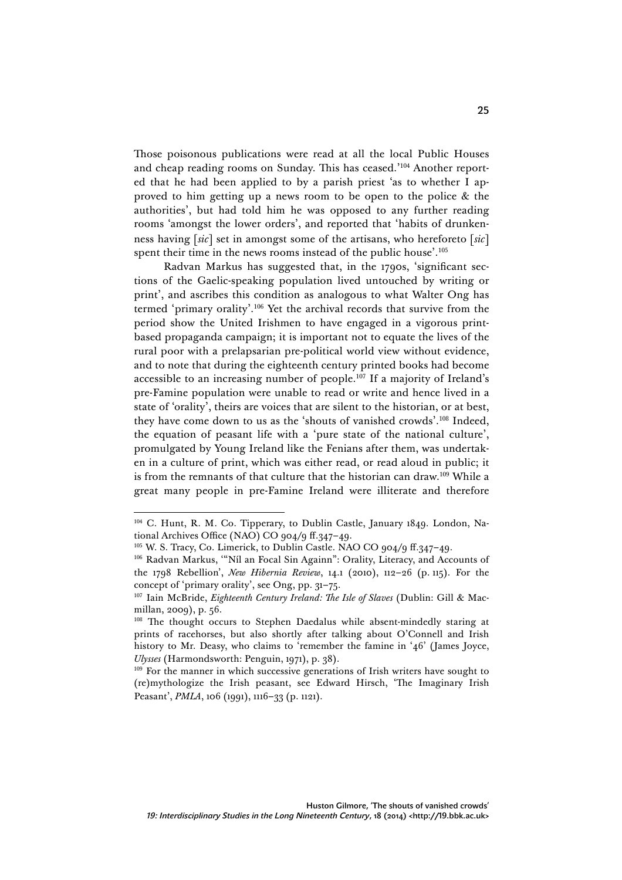Those poisonous publications were read at all the local Public Houses and cheap reading rooms on Sunday. This has ceased.'<sup>104</sup> Another reported that he had been applied to by a parish priest 'as to whether I approved to him getting up a news room to be open to the police & the authorities', but had told him he was opposed to any further reading rooms 'amongst the lower orders', and reported that 'habits of drunkenness having [*sic*] set in amongst some of the artisans, who hereforeto [*sic*] spent their time in the news rooms instead of the public house'. 105

Radvan Markus has suggested that, in the 1790s, 'significant sections of the Gaelic-speaking population lived untouched by writing or print', and ascribes this condition as analogous to what Walter Ong has termed 'primary orality'. <sup>106</sup> Yet the archival records that survive from the period show the United Irishmen to have engaged in a vigorous printbased propaganda campaign; it is important not to equate the lives of the rural poor with a prelapsarian pre-political world view without evidence, and to note that during the eighteenth century printed books had become accessible to an increasing number of people. <sup>107</sup> If a majority of Ireland's pre-Famine population were unable to read or write and hence lived in a state of 'orality', theirs are voices that are silent to the historian, or at best, they have come down to us as the 'shouts of vanished crowds'. <sup>108</sup> Indeed, the equation of peasant life with a 'pure state of the national culture', promulgated by Young Ireland like the Fenians after them, was undertaken in a culture of print, which was either read, or read aloud in public; it is from the remnants of that culture that the historian can draw.<sup>109</sup> While a great many people in pre-Famine Ireland were illiterate and therefore

 $\overline{a}$ <sup>104</sup> C. Hunt, R. M. Co. Tipperary, to Dublin Castle, January 1849. London, National Archives Office (NAO) CO 904/9 ff.347–49.

<sup>&</sup>lt;sup>105</sup> W. S. Tracy, Co. Limerick, to Dublin Castle. NAO CO 904/9 ff.347-49.

<sup>106</sup> Radvan Markus, '"Níl an Focal Sin Againn": Orality, Literacy, and Accounts of the 1798 Rebellion', *New Hibernia Review*, 14.1 (2010), 112–26 (p. 115). For the concept of 'primary orality', see Ong, pp. 31–75.

<sup>107</sup> Iain McBride, *Eighteenth Century Ireland: The Isle of Slaves* (Dublin: Gill & Macmillan, 2009), p. 56.

<sup>&</sup>lt;sup>108</sup> The thought occurs to Stephen Daedalus while absent-mindedly staring at prints of racehorses, but also shortly after talking about O'Connell and Irish history to Mr. Deasy, who claims to 'remember the famine in '46' (James Joyce, *Ulysses* (Harmondsworth: Penguin, 1971), p. 38).

<sup>&</sup>lt;sup>109</sup> For the manner in which successive generations of Irish writers have sought to (re)mythologize the Irish peasant, see Edward Hirsch, 'The Imaginary Irish Peasant', *PMLA*, 106 (1991), 1116–33 (p. 1121).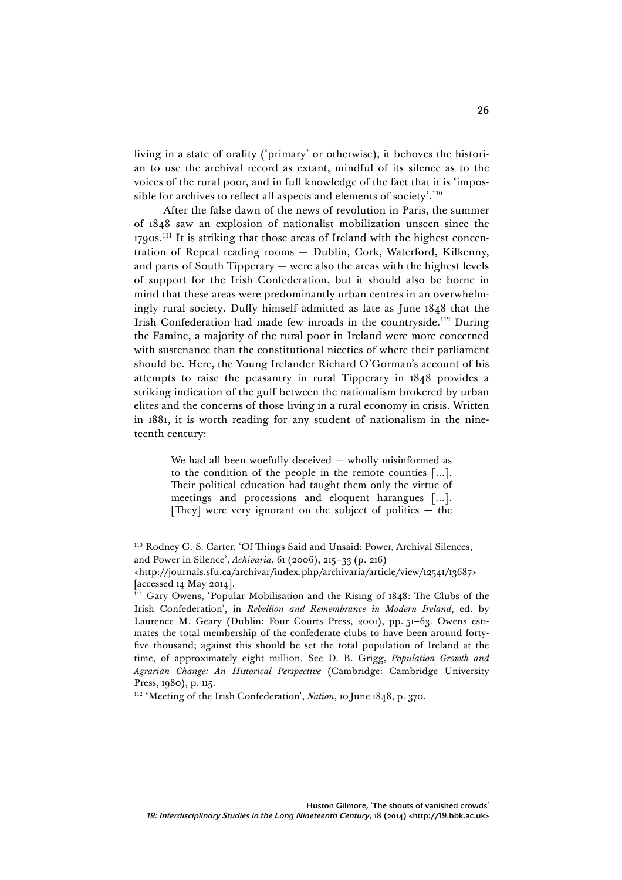living in a state of orality ('primary' or otherwise), it behoves the historian to use the archival record as extant, mindful of its silence as to the voices of the rural poor, and in full knowledge of the fact that it is 'impossible for archives to reflect all aspects and elements of society'. $^{110}$ 

After the false dawn of the news of revolution in Paris, the summer of 1848 saw an explosion of nationalist mobilization unseen since the 1790s.<sup>111</sup> It is striking that those areas of Ireland with the highest concentration of Repeal reading rooms — Dublin, Cork, Waterford, Kilkenny, and parts of South Tipperary — were also the areas with the highest levels of support for the Irish Confederation, but it should also be borne in mind that these areas were predominantly urban centres in an overwhelmingly rural society. Duffy himself admitted as late as June 1848 that the Irish Confederation had made few inroads in the countryside.<sup>112</sup> During the Famine, a majority of the rural poor in Ireland were more concerned with sustenance than the constitutional niceties of where their parliament should be. Here, the Young Irelander Richard O'Gorman's account of his attempts to raise the peasantry in rural Tipperary in 1848 provides a striking indication of the gulf between the nationalism brokered by urban elites and the concerns of those living in a rural economy in crisis. Written in 1881, it is worth reading for any student of nationalism in the nineteenth century:

> We had all been woefully deceived — wholly misinformed as to the condition of the people in the remote counties […]. Their political education had taught them only the virtue of meetings and processions and eloquent harangues […]. [They] were very ignorant on the subject of politics  $-$  the

 $\overline{a}$ <sup>110</sup> Rodney G. S. Carter, 'Of Things Said and Unsaid: Power, Archival Silences, and Power in Silence', *Achivaria*, 61 (2006), 215–33 (p. 216)

<sup>&</sup>lt;http://journals.sfu.ca/archivar/index.php/archivaria/article/view/12541/13687> [accessed 14 May 2014].

<sup>&</sup>lt;sup>111</sup> Gary Owens, 'Popular Mobilisation and the Rising of 1848: The Clubs of the Irish Confederation', in *Rebellion and Remembrance in Modern Ireland*, ed. by Laurence M. Geary (Dublin: Four Courts Press, 2001), pp. 51–63. Owens estimates the total membership of the confederate clubs to have been around fortyfive thousand; against this should be set the total population of Ireland at the time, of approximately eight million. See D. B. Grigg, *Population Growth and Agrarian Change: An Historical Perspective* (Cambridge: Cambridge University Press, 1980), p. 115.

<sup>112</sup> 'Meeting of the Irish Confederation', *Nation*, 10 June 1848, p. 370.